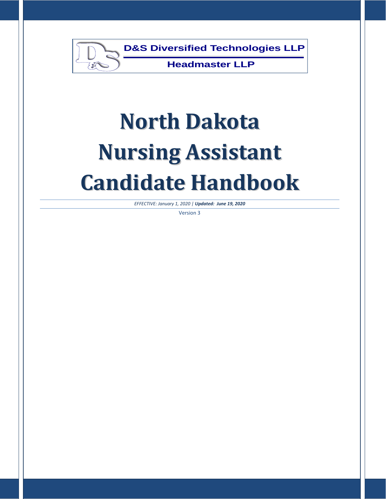

*EFFECTIVE: January 1, 2020 | Updated: June 19, 2020*

Version 3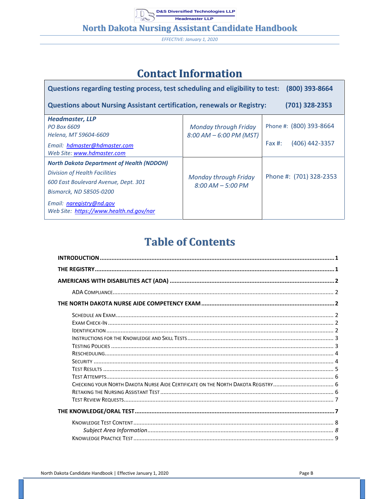**North Dakota Nursing Assistant Candidate Handbook** 

EFFECTIVE: January 1, 2020

# **Contact Information**

| Questions regarding testing process, test scheduling and eligibility to test:<br>(800) 393-8664                                                                                                                             |                                                         |                                |  |  |  |
|-----------------------------------------------------------------------------------------------------------------------------------------------------------------------------------------------------------------------------|---------------------------------------------------------|--------------------------------|--|--|--|
| <b>Questions about Nursing Assistant certification, renewals or Registry:</b>                                                                                                                                               |                                                         | $(701)$ 328-2353               |  |  |  |
| <b>Headmaster, LLP</b><br>PO Box 6609<br>Helena, MT 59604-6609                                                                                                                                                              | <b>Monday through Friday</b><br>8:00 AM - 6:00 PM (MST) | Phone #: (800) 393-8664        |  |  |  |
| Email: hdmaster@hdmaster.com<br>Web Site: www.hdmaster.com                                                                                                                                                                  |                                                         | $(406)$ 442-3357<br>Fax $\#$ : |  |  |  |
| <b>North Dakota Department of Health (NDDOH)</b><br>Division of Health Facilities<br>600 East Boulevard Avenue, Dept. 301<br>Bismarck, ND 58505-0200<br>Email: naregistry@nd.gov<br>Web Site: https://www.health.nd.gov/nar | Monday through Friday<br>$8:00$ AM $-$ 5:00 PM          | Phone #: (701) 328-2353        |  |  |  |

# **Table of Contents**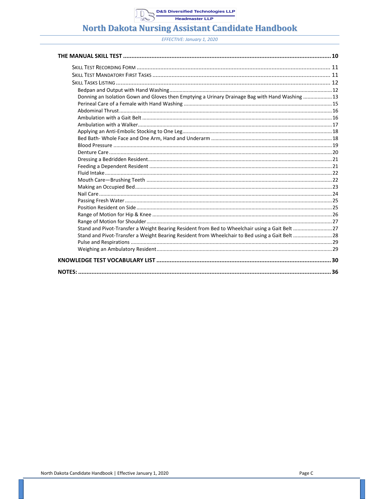## **North Dakota Nursing Assistant Candidate Handbook**

| Donning an Isolation Gown and Gloves then Emptying a Urinary Drainage Bag with Hand Washing 13 |  |
|------------------------------------------------------------------------------------------------|--|
|                                                                                                |  |
|                                                                                                |  |
|                                                                                                |  |
|                                                                                                |  |
|                                                                                                |  |
|                                                                                                |  |
|                                                                                                |  |
|                                                                                                |  |
|                                                                                                |  |
|                                                                                                |  |
|                                                                                                |  |
|                                                                                                |  |
|                                                                                                |  |
|                                                                                                |  |
|                                                                                                |  |
|                                                                                                |  |
|                                                                                                |  |
|                                                                                                |  |
| Stand and Pivot-Transfer a Weight Bearing Resident from Bed to Wheelchair using a Gait Belt 27 |  |
| Stand and Pivot-Transfer a Weight Bearing Resident from Wheelchair to Bed using a Gait Belt 28 |  |
|                                                                                                |  |
|                                                                                                |  |
|                                                                                                |  |
|                                                                                                |  |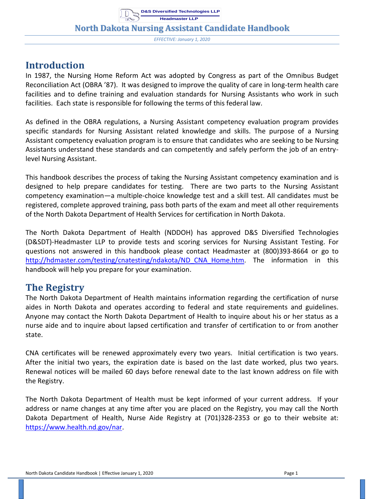**North Dakota Nursing Assistant Candidate Handbook**

*EFFECTIVE: January 1, 2020*

## <span id="page-3-0"></span>**Introduction**

In 1987, the Nursing Home Reform Act was adopted by Congress as part of the Omnibus Budget Reconciliation Act (OBRA '87). It was designed to improve the quality of care in long-term health care facilities and to define training and evaluation standards for Nursing Assistants who work in such facilities. Each state is responsible for following the terms of this federal law.

As defined in the OBRA regulations, a Nursing Assistant competency evaluation program provides specific standards for Nursing Assistant related knowledge and skills. The purpose of a Nursing Assistant competency evaluation program is to ensure that candidates who are seeking to be Nursing Assistants understand these standards and can competently and safely perform the job of an entrylevel Nursing Assistant.

This handbook describes the process of taking the Nursing Assistant competency examination and is designed to help prepare candidates for testing. There are two parts to the Nursing Assistant competency examination—a multiple-choice knowledge test and a skill test. All candidates must be registered, complete approved training, pass both parts of the exam and meet all other requirements of the North Dakota Department of Health Services for certification in North Dakota.

The North Dakota Department of Health (NDDOH) has approved D&S Diversified Technologies (D&SDT)-Headmaster LLP to provide tests and scoring services for Nursing Assistant Testing. For questions not answered in this handbook please contact Headmaster at (800)393-8664 or go to [http://hdmaster.com/testing/cnatesting/ndakota/ND\\_CNA\\_Home.htm.](http://hdmaster.com/testing/cnatesting/ndakota/ND_CNA_Home.htm) The information in this handbook will help you prepare for your examination.

# <span id="page-3-1"></span>**The Registry**

The North Dakota Department of Health maintains information regarding the certification of nurse aides in North Dakota and operates according to federal and state requirements and guidelines. Anyone may contact the North Dakota Department of Health to inquire about his or her status as a nurse aide and to inquire about lapsed certification and transfer of certification to or from another state.

CNA certificates will be renewed approximately every two years. Initial certification is two years. After the initial two years, the expiration date is based on the last date worked, plus two years. Renewal notices will be mailed 60 days before renewal date to the last known address on file with the Registry.

The North Dakota Department of Health must be kept informed of your current address. If your address or name changes at any time after you are placed on the Registry, you may call the North Dakota Department of Health, Nurse Aide Registry at (701)328-2353 or go to their website at: [https://www.health.nd.gov/nar.](https://www.health.nd.gov/nar)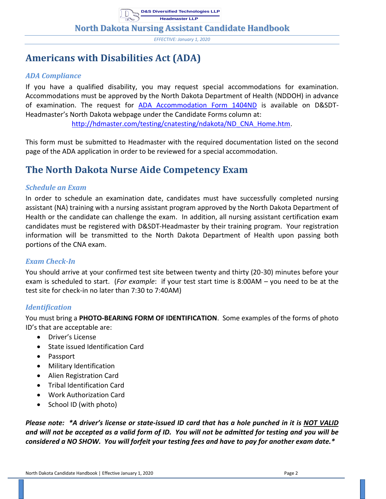*EFFECTIVE: January 1, 2020*

# <span id="page-4-0"></span>**Americans with Disabilities Act (ADA)**

#### <span id="page-4-1"></span>*ADA Compliance*

If you have a qualified disability, you may request special accommodations for examination. Accommodations must be approved by the North Dakota Department of Health (NDDOH) in advance of examination. The request for [ADA Accommodation Form 1404ND](https://hdmaster.com/testing/cnatesting/ndakota/ndformpages/ndforms/1404ND.pdf) is available on D&SDT-Headmaster's North Dakota webpage under the Candidate Forms column at: [http://hdmaster.com/testing/cnatesting/ndakota/ND\\_CNA\\_Home.htm.](http://hdmaster.com/testing/cnatesting/ndakota/ND_CNA_Home.htm)

This form must be submitted to Headmaster with the required documentation listed on the second page of the ADA application in order to be reviewed for a special accommodation.

# <span id="page-4-2"></span>**The North Dakota Nurse Aide Competency Exam**

#### <span id="page-4-3"></span>*Schedule an Exam*

In order to schedule an examination date, candidates must have successfully completed nursing assistant (NA) training with a nursing assistant program approved by the North Dakota Department of Health or the candidate can challenge the exam. In addition, all nursing assistant certification exam candidates must be registered with D&SDT-Headmaster by their training program. Your registration information will be transmitted to the North Dakota Department of Health upon passing both portions of the CNA exam.

#### <span id="page-4-4"></span>*Exam Check-In*

You should arrive at your confirmed test site between twenty and thirty (20-30) minutes before your exam is scheduled to start. (*For example*: if your test start time is 8:00AM – you need to be at the test site for check-in no later than 7:30 to 7:40AM)

#### <span id="page-4-5"></span>*Identification*

You must bring a **PHOTO-BEARING FORM OF IDENTIFICATION**. Some examples of the forms of photo ID's that are acceptable are:

- Driver's License
- State issued Identification Card
- Passport
- Military Identification
- Alien Registration Card
- Tribal Identification Card
- Work Authorization Card
- School ID (with photo)

*Please note: \*A driver's license or state-issued ID card that has a hole punched in it is NOT VALID and will not be accepted as a valid form of ID. You will not be admitted for testing and you will be considered a NO SHOW. You will forfeit your testing fees and have to pay for another exam date.\**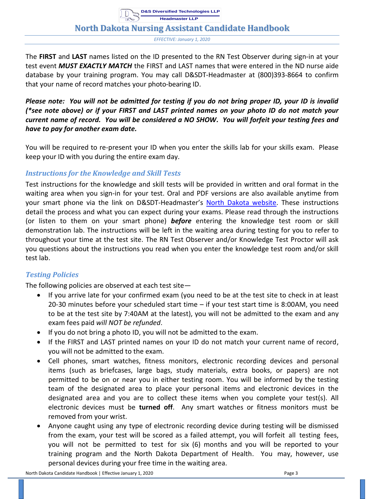*EFFECTIVE: January 1, 2020*

The **FIRST** and **LAST** names listed on the ID presented to the RN Test Observer during sign-in at your test event *MUST EXACTLY MATCH* the FIRST and LAST names that were entered in the ND nurse aide database by your training program. You may call D&SDT-Headmaster at (800)393-8664 to confirm that your name of record matches your photo-bearing ID.

*Please note: You will not be admitted for testing if you do not bring proper ID, your ID is invalid (\*see note above) or if your FIRST and LAST printed names on your photo ID do not match your current name of record. You will be considered a NO SHOW. You will forfeit your testing fees and have to pay for another exam date.*

You will be required to re-present your ID when you enter the skills lab for your skills exam. Please keep your ID with you during the entire exam day.

#### <span id="page-5-0"></span>*Instructions for the Knowledge and Skill Tests*

Test instructions for the knowledge and skill tests will be provided in written and oral format in the waiting area when you sign-in for your test. Oral and PDF versions are also available anytime from your smart phone via the link on D&SDT-Headmaster's [North Dakota](https://hdmaster.com/testing/cnatesting/ndakota/ND_CNA_Home.htm) website. These instructions detail the process and what you can expect during your exams. Please read through the instructions (or listen to them on your smart phone) *before* entering the knowledge test room or skill demonstration lab. The instructions will be left in the waiting area during testing for you to refer to throughout your time at the test site. The RN Test Observer and/or Knowledge Test Proctor will ask you questions about the instructions you read when you enter the knowledge test room and/or skill test lab.

#### <span id="page-5-1"></span>*Testing Policies*

The following policies are observed at each test site—

- If you arrive late for your confirmed exam (you need to be at the test site to check in at least 20-30 minutes before your scheduled start time – if your test start time is 8:00AM, you need to be at the test site by 7:40AM at the latest), you will not be admitted to the exam and any exam fees paid *will NOT be refunded*.
- If you do not bring a photo ID, you will not be admitted to the exam.
- If the FIRST and LAST printed names on your ID do not match your current name of record, you will not be admitted to the exam.
- Cell phones, smart watches, fitness monitors, electronic recording devices and personal items (such as briefcases, large bags, study materials, extra books, or papers) are not permitted to be on or near you in either testing room. You will be informed by the testing team of the designated area to place your personal items and electronic devices in the designated area and you are to collect these items when you complete your test(s). All electronic devices must be **turned off**. Any smart watches or fitness monitors must be removed from your wrist.
- Anyone caught using any type of electronic recording device during testing will be dismissed from the exam, your test will be scored as a failed attempt, you will forfeit all testing fees, you will not be permitted to test for six (6) months and you will be reported to your training program and the North Dakota Department of Health. You may, however, use personal devices during your free time in the waiting area.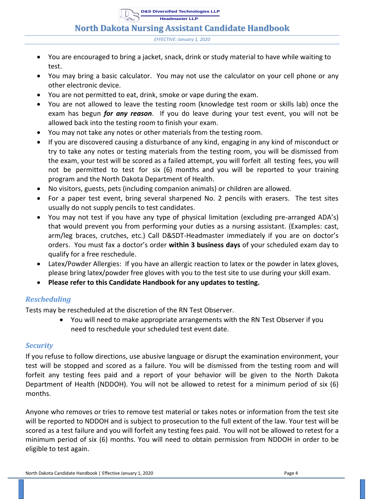**North Dakota Nursing Assistant Candidate Handbook**

- You are encouraged to bring a jacket, snack, drink or study material to have while waiting to test.
- You may bring a basic calculator. You may not use the calculator on your cell phone or any other electronic device.
- You are not permitted to eat, drink, smoke or vape during the exam.
- You are not allowed to leave the testing room (knowledge test room or skills lab) once the exam has begun *for any reason*. If you do leave during your test event, you will not be allowed back into the testing room to finish your exam.
- You may not take any notes or other materials from the testing room.
- If you are discovered causing a disturbance of any kind, engaging in any kind of misconduct or try to take any notes or testing materials from the testing room, you will be dismissed from the exam, your test will be scored as a failed attempt, you will forfeit all testing fees, you will not be permitted to test for six (6) months and you will be reported to your training program and the North Dakota Department of Health.
- No visitors, guests, pets (including companion animals) or children are allowed.
- For a paper test event, bring several sharpened No. 2 pencils with erasers. The test sites usually do not supply pencils to test candidates.
- You may not test if you have any type of physical limitation (excluding pre-arranged ADA's) that would prevent you from performing your duties as a nursing assistant. (Examples: cast, arm/leg braces, crutches, etc.) Call D&SDT-Headmaster immediately if you are on doctor's orders. You must fax a doctor's order **within 3 business days** of your scheduled exam day to qualify for a free reschedule.
- Latex/Powder Allergies: If you have an allergic reaction to latex or the powder in latex gloves, please bring latex/powder free gloves with you to the test site to use during your skill exam.
- **Please refer to this Candidate Handbook for any updates to testing.**

#### <span id="page-6-0"></span>*Rescheduling*

Tests may be rescheduled at the discretion of the RN Test Observer.

• You will need to make appropriate arrangements with the RN Test Observer if you need to reschedule your scheduled test event date.

#### <span id="page-6-1"></span>*Security*

If you refuse to follow directions, use abusive language or disrupt the examination environment, your test will be stopped and scored as a failure. You will be dismissed from the testing room and will forfeit any testing fees paid and a report of your behavior will be given to the North Dakota Department of Health (NDDOH). You will not be allowed to retest for a minimum period of six (6) months.

Anyone who removes or tries to remove test material or takes notes or information from the test site will be reported to NDDOH and is subject to prosecution to the full extent of the law. Your test will be scored as a test failure and you will forfeit any testing fees paid. You will not be allowed to retest for a minimum period of six (6) months. You will need to obtain permission from NDDOH in order to be eligible to test again.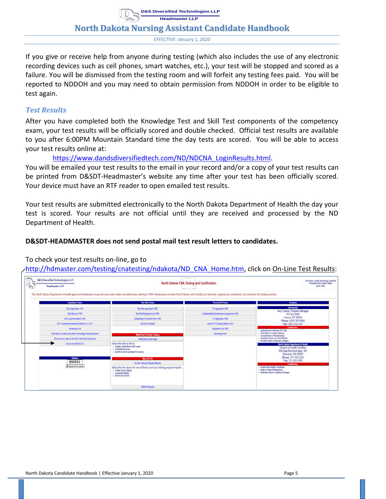**North Dakota Nursing Assistant Candidate Handbook**

*EFFECTIVE: January 1, 2020*

If you give or receive help from anyone during testing (which also includes the use of any electronic recording devices such as cell phones, smart watches, etc.), your test will be stopped and scored as a failure. You will be dismissed from the testing room and will forfeit any testing fees paid. You will be reported to NDDOH and you may need to obtain permission from NDDOH in order to be eligible to test again.

#### <span id="page-7-0"></span>*Test Results*

After you have completed both the Knowledge Test and Skill Test components of the competency exam, your test results will be officially scored and double checked. Official test results are available to you after 6:00PM Mountain Standard time the day tests are scored. You will be able to access your test results online at:

[https://www.dandsdiversifiedtech.com/ND/NDCNA\\_LoginResults.html.](https://www.dandsdiversifiedtech.com/ND/NDCNA_LoginResults.html)

You will be emailed your test results to the email in your record and/or a copy of your test results can be printed from D&SDT-Headmaster's website any time after your test has been officially scored. Your device must have an RTF reader to open emailed test results.

Your test results are submitted electronically to the North Dakota Department of Health the day your test is scored. Your results are not official until they are received and processed by the ND Department of Health.

#### **D&SDT-HEADMASTER does not send postal mail test result letters to candidates.**

#### To check your test results on-line, go to

[http://hdmaster.com/testing/cnatesting/ndakota/ND\\_CNA\\_Home.htm,](http://hdmaster.com/testing/cnatesting/ndakota/ND_CNA_Home.htm) click on On-Line Test Results:

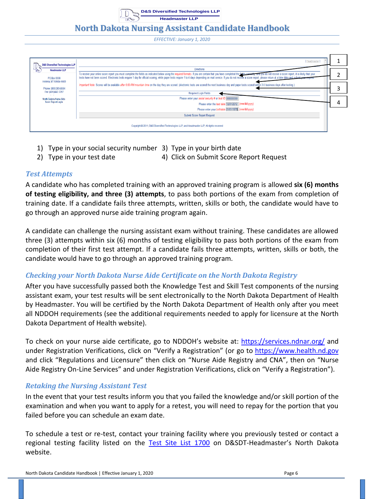**North Dakota Nursing Assistant Candidate Handbook**

*EFFECTIVE: January 1, 2020*

| <b>D&amp;S Diversified Technologies LLP</b>   | Headmaster                                                                                                                                                                                                                                                                                                                                                                                                                                                      |  |
|-----------------------------------------------|-----------------------------------------------------------------------------------------------------------------------------------------------------------------------------------------------------------------------------------------------------------------------------------------------------------------------------------------------------------------------------------------------------------------------------------------------------------------|--|
| <b>Headmaster LLP</b>                         | <b>Directions</b>                                                                                                                                                                                                                                                                                                                                                                                                                                               |  |
| PO Box 6609                                   | To receive your online score report you must complete the fields as indicated below using the required formats. If you are certain that you have completed the fields correctly, and you do not receive a score report, it is<br>tests have not been scored. Electronic tests require 1 day for official scoring, while paper tests require 1 to 4 days depending on mail service. If you do not receive a score report, please return at a later date and subm |  |
| Helena, MT 59604-6609<br>Phone: (800)393-8664 | Important Note: Scores will be available after 6:00 PM mountain time on the day they are scored. (electronic tests are scored the next business day and paper tests scored within 3-5 business days after testing.)                                                                                                                                                                                                                                             |  |
| Fax: (406)442-3357                            | <b>Required Login Fields</b>                                                                                                                                                                                                                                                                                                                                                                                                                                    |  |
| North Dakota Nurse Aide                       | Please enter your social security # or test ID 000000000                                                                                                                                                                                                                                                                                                                                                                                                        |  |
| <b>Score Report Login</b>                     | Please enter the test date 12/31/2012 (mm/dd/yyyy)                                                                                                                                                                                                                                                                                                                                                                                                              |  |
|                                               | Please enter your birthdate 01/01/1970 (mm/dd/yyyy)                                                                                                                                                                                                                                                                                                                                                                                                             |  |
|                                               | Submit Score Report Request                                                                                                                                                                                                                                                                                                                                                                                                                                     |  |
|                                               | Copyright © 2011, D&S Diversified Technologies LLP, and Headmaster LLP, All rights reserved                                                                                                                                                                                                                                                                                                                                                                     |  |

- 1) Type in your social security number 3) Type in your birth date
- 2) Type in your test date 4) Click on Submit Score Report Request
- 

#### <span id="page-8-0"></span>*Test Attempts*

A candidate who has completed training with an approved training program is allowed **six (6) months of testing eligibility, and three (3) attempts**, to pass both portions of the exam from completion of training date. If a candidate fails three attempts, written, skills or both, the candidate would have to go through an approved nurse aide training program again.

A candidate can challenge the nursing assistant exam without training. These candidates are allowed three (3) attempts within six (6) months of testing eligibility to pass both portions of the exam from completion of their first test attempt. If a candidate fails three attempts, written, skills or both, the candidate would have to go through an approved training program.

#### <span id="page-8-1"></span>*Checking your North Dakota Nurse Aide Certificate on the North Dakota Registry*

After you have successfully passed both the Knowledge Test and Skill Test components of the nursing assistant exam, your test results will be sent electronically to the North Dakota Department of Health by Headmaster. You will be certified by the North Dakota Department of Health only after you meet all NDDOH requirements (see the additional requirements needed to apply for licensure at the North Dakota Department of Health website).

To check on your nurse aide certificate, go to NDDOH's website at: <https://services.ndnar.org/> and under Registration Verifications, click on "Verify a Registration" (or go to [https://www.health.nd.gov](https://www.health.nd.gov/) and click "Regulations and Licensure" then click on "Nurse Aide Registry and CNA", then on "Nurse Aide Registry On-Line Services" and under Registration Verifications, click on "Verify a Registration").

#### <span id="page-8-2"></span>*Retaking the Nursing Assistant Test*

In the event that your test results inform you that you failed the knowledge and/or skill portion of the examination and when you want to apply for a retest, you will need to repay for the portion that you failed before you can schedule an exam date.

To schedule a test or re-test, contact your training facility where you previously tested or contact a regional testing facility listed on the [Test Site List 1700](https://hdmaster.com/testing/cnatesting/ndakota/ndformpages/ndforms/1700ND.pdf) on D&SDT-Headmaster's North Dakota website.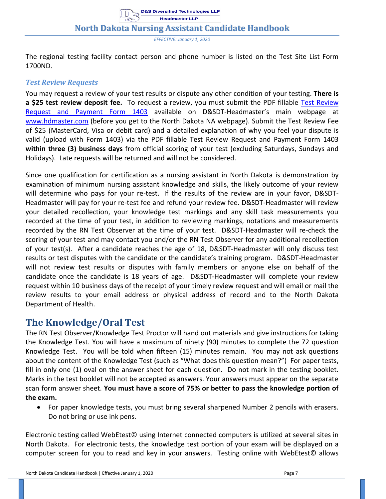**D&S Diversified Technologies LLP**

*EFFECTIVE: January 1, 2020*

The regional testing facility contact person and phone number is listed on the Test Site List Form 1700ND.

#### <span id="page-9-0"></span>*Test Review Requests*

You may request a review of your test results or dispute any other condition of your testing. **There is a \$25 test review deposit fee.** To request a review, you must submit the PDF fillable [Test Review](https://www.pdffiller.com/en/link_to_fill/556709955.htm)  [Request and Payment Form 1403](https://www.pdffiller.com/en/link_to_fill/556709955.htm) available on D&SDT-Headmaster's main webpage at [www.hdmaster.com](http://www.hdmaster.com/) (before you get to the North Dakota NA webpage). Submit the Test Review Fee of \$25 (MasterCard, Visa or debit card) and a detailed explanation of why you feel your dispute is valid (upload with Form 1403) via the PDF fillable Test Review Request and Payment Form 1403 **within three (3) business days** from official scoring of your test (excluding Saturdays, Sundays and Holidays). Late requests will be returned and will not be considered.

Since one qualification for certification as a nursing assistant in North Dakota is demonstration by examination of minimum nursing assistant knowledge and skills, the likely outcome of your review will determine who pays for your re-test. If the results of the review are in your favor, D&SDT-Headmaster will pay for your re-test fee and refund your review fee. D&SDT-Headmaster will review your detailed recollection, your knowledge test markings and any skill task measurements you recorded at the time of your test, in addition to reviewing markings, notations and measurements recorded by the RN Test Observer at the time of your test. D&SDT-Headmaster will re-check the scoring of your test and may contact you and/or the RN Test Observer for any additional recollection of your test(s). After a candidate reaches the age of 18, D&SDT-Headmaster will only discuss test results or test disputes with the candidate or the candidate's training program. D&SDT-Headmaster will not review test results or disputes with family members or anyone else on behalf of the candidate once the candidate is 18 years of age. D&SDT-Headmaster will complete your review request within 10 business days of the receipt of your timely review request and will email or mail the review results to your email address or physical address of record and to the North Dakota Department of Health.

# <span id="page-9-1"></span>**The Knowledge/Oral Test**

The RN Test Observer/Knowledge Test Proctor will hand out materials and give instructions for taking the Knowledge Test. You will have a maximum of ninety (90) minutes to complete the 72 question Knowledge Test. You will be told when fifteen (15) minutes remain. You may not ask questions about the content of the Knowledge Test (such as "What does this question mean?") For paper tests, fill in only one (1) oval on the answer sheet for each question*.* Do not mark in the testing booklet. Marks in the test booklet will not be accepted as answers. Your answers must appear on the separate scan form answer sheet. **You must have a score of 75% or better to pass the knowledge portion of the exam.**

• For paper knowledge tests, you must bring several sharpened Number 2 pencils with erasers. Do not bring or use ink pens.

Electronic testing called WebEtest© using Internet connected computers is utilized at several sites in North Dakota. For electronic tests, the knowledge test portion of your exam will be displayed on a computer screen for you to read and key in your answers. Testing online with WebEtest© allows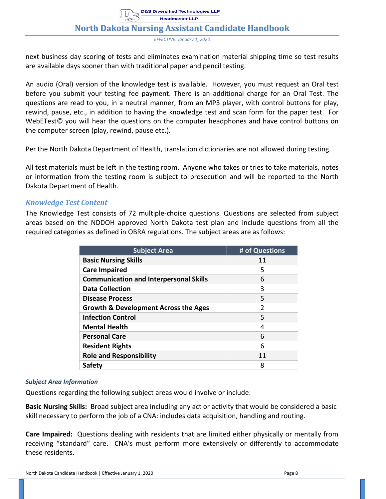*EFFECTIVE: January 1, 2020*

next business day scoring of tests and eliminates examination material shipping time so test results are available days sooner than with traditional paper and pencil testing.

An audio (Oral) version of the knowledge test is available. However, you must request an Oral test before you submit your testing fee payment. There is an additional charge for an Oral Test. The questions are read to you, in a neutral manner, from an MP3 player, with control buttons for play, rewind, pause, etc., in addition to having the knowledge test and scan form for the paper test. For WebETest© you will hear the questions on the computer headphones and have control buttons on the computer screen (play, rewind, pause etc.).

Per the North Dakota Department of Health, translation dictionaries are not allowed during testing.

All test materials must be left in the testing room. Anyone who takes or tries to take materials, notes or information from the testing room is subject to prosecution and will be reported to the North Dakota Department of Health.

#### <span id="page-10-0"></span>*Knowledge Test Content*

The Knowledge Test consists of 72 multiple-choice questions. Questions are selected from subject areas based on the NDDOH approved North Dakota test plan and include questions from all the required categories as defined in OBRA regulations. The subject areas are as follows:

| <b>Subject Area</b>                             | # of Questions |
|-------------------------------------------------|----------------|
| <b>Basic Nursing Skills</b>                     | 11             |
| <b>Care Impaired</b>                            | 5              |
| <b>Communication and Interpersonal Skills</b>   | 6              |
| <b>Data Collection</b>                          | 3              |
| <b>Disease Process</b>                          | 5              |
| <b>Growth &amp; Development Across the Ages</b> | $\overline{2}$ |
| <b>Infection Control</b>                        | 5              |
| <b>Mental Health</b>                            | 4              |
| <b>Personal Care</b>                            | 6              |
| <b>Resident Rights</b>                          | 6              |
| <b>Role and Responsibility</b>                  | 11             |
| <b>Safety</b>                                   | 8              |

#### <span id="page-10-1"></span>*Subject Area Information*

Questions regarding the following subject areas would involve or include:

**Basic Nursing Skills:** Broad subject area including any act or activity that would be considered a basic skill necessary to perform the job of a CNA: includes data acquisition, handling and routing.

**Care Impaired:** Questions dealing with residents that are limited either physically or mentally from receiving "standard" care. CNA's must perform more extensively or differently to accommodate these residents.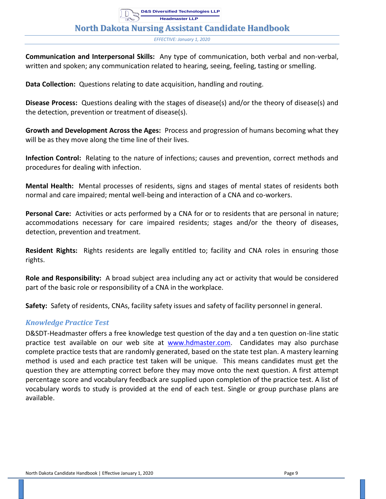*EFFECTIVE: January 1, 2020*

**Communication and Interpersonal Skills:** Any type of communication, both verbal and non-verbal, written and spoken; any communication related to hearing, seeing, feeling, tasting or smelling.

**Data Collection:** Questions relating to date acquisition, handling and routing.

**Disease Process:** Questions dealing with the stages of disease(s) and/or the theory of disease(s) and the detection, prevention or treatment of disease(s).

**Growth and Development Across the Ages:** Process and progression of humans becoming what they will be as they move along the time line of their lives.

**Infection Control:** Relating to the nature of infections; causes and prevention, correct methods and procedures for dealing with infection.

**Mental Health:** Mental processes of residents, signs and stages of mental states of residents both normal and care impaired; mental well-being and interaction of a CNA and co-workers.

**Personal Care:** Activities or acts performed by a CNA for or to residents that are personal in nature; accommodations necessary for care impaired residents; stages and/or the theory of diseases, detection, prevention and treatment.

**Resident Rights:** Rights residents are legally entitled to; facility and CNA roles in ensuring those rights.

**Role and Responsibility:** A broad subject area including any act or activity that would be considered part of the basic role or responsibility of a CNA in the workplace.

<span id="page-11-0"></span>**Safety:** Safety of residents, CNAs, facility safety issues and safety of facility personnel in general.

#### *Knowledge Practice Test*

D&SDT-Headmaster offers a free knowledge test question of the day and a ten question on-line static practice test available on our web site at [www.hdmaster.com.](http://www.hdmaster.com/) Candidates may also purchase complete practice tests that are randomly generated, based on the state test plan. A mastery learning method is used and each practice test taken will be unique. This means candidates must get the question they are attempting correct before they may move onto the next question. A first attempt percentage score and vocabulary feedback are supplied upon completion of the practice test. A list of vocabulary words to study is provided at the end of each test. Single or group purchase plans are available.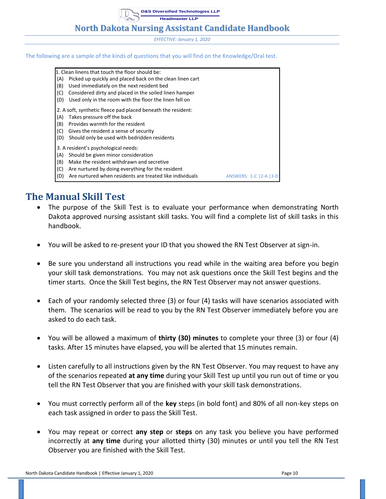## **North Dakota Nursing Assistant Candidate Handbook**

*EFFECTIVE: January 1, 2020*

#### The following are a sample of the kinds of questions that you will find on the Knowledge/Oral test.

1. Clean linens that touch the floor should be: (A) Picked up quickly and placed back on the clean linen cart (B) Used immediately on the next resident bed (C) Considered dirty and placed in the soiled linen hamper (D) Used only in the room with the floor the linen fell on 2. A soft, synthetic fleece pad placed beneath the resident: (A) Takes pressure off the back (B) Provides warmth for the resident (C) Gives the resident a sense of security (D) Should only be used with bedridden residents 3. A resident's psychological needs: (A) Should be given minor consideration (B) Make the resident withdrawn and secretive (C) Are nurtured by doing everything for the resident (D) Are nurtured when residents are treated like individuals ANSWERS: 1-C |2-A |3-D

# <span id="page-12-0"></span>**The Manual Skill Test**

- The purpose of the Skill Test is to evaluate your performance when demonstrating North Dakota approved nursing assistant skill tasks. You will find a complete list of skill tasks in this handbook.
- You will be asked to re-present your ID that you showed the RN Test Observer at sign-in.
- Be sure you understand all instructions you read while in the waiting area before you begin your skill task demonstrations. You may not ask questions once the Skill Test begins and the timer starts. Once the Skill Test begins, the RN Test Observer may not answer questions.
- Each of your randomly selected three (3) or four (4) tasks will have scenarios associated with them. The scenarios will be read to you by the RN Test Observer immediately before you are asked to do each task.
- You will be allowed a maximum of **thirty (30) minutes** to complete your three (3) or four (4) tasks. After 15 minutes have elapsed, you will be alerted that 15 minutes remain.
- Listen carefully to all instructions given by the RN Test Observer. You may request to have any of the scenarios repeated **at any time** during your Skill Test up until you run out of time or you tell the RN Test Observer that you are finished with your skill task demonstrations.
- You must correctly perform all of the **key** steps (in bold font) and 80% of all non-key steps on each task assigned in order to pass the Skill Test.
- You may repeat or correct **any step** or **steps** on any task you believe you have performed incorrectly at **any time** during your allotted thirty (30) minutes or until you tell the RN Test Observer you are finished with the Skill Test.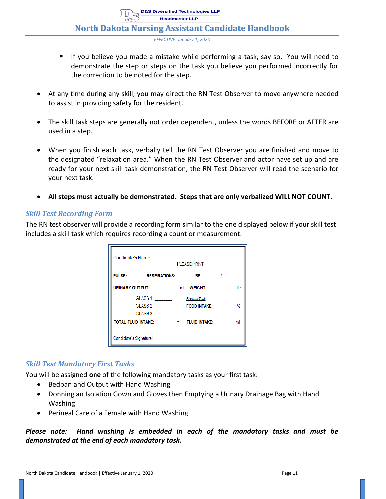**Headmaster LLP**

**North Dakota Nursing Assistant Candidate Handbook**

**D&S Diversified Technologies LLP**

*EFFECTIVE: January 1, 2020*

- If you believe you made a mistake while performing a task, say so. You will need to demonstrate the step or steps on the task you believe you performed incorrectly for the correction to be noted for the step.
- At any time during any skill, you may direct the RN Test Observer to move anywhere needed to assist in providing safety for the resident.
- The skill task steps are generally not order dependent, unless the words BEFORE or AFTER are used in a step.
- When you finish each task, verbally tell the RN Test Observer you are finished and move to the designated "relaxation area." When the RN Test Observer and actor have set up and are ready for your next skill task demonstration, the RN Test Observer will read the scenario for your next task.
- **All steps must actually be demonstrated. Steps that are only verbalized WILL NOT COUNT.**

#### <span id="page-13-0"></span>*Skill Test Recording Form*

The RN test observer will provide a recording form similar to the one displayed below if your skill test includes a skill task which requires recording a count or measurement.

| Candidate's Name: | <b>PI FASE PRINT</b>                                      |  |
|-------------------|-----------------------------------------------------------|--|
|                   | PULSE: RESPIRATIONS: BP: /                                |  |
|                   | URINARY OUTPUT: ml WEIGHT: lbs.                           |  |
| GLASS 1: _______  | <b>Feeding Task</b>                                       |  |
| GLASS 2: _______  | <b>FOOD INTAKE:</b> %                                     |  |
| GLASS 3:          |                                                           |  |
|                   | TOTAL FLUID INTAKE: _______ ml   FLUID INTAKE: _______ ml |  |
|                   |                                                           |  |

#### <span id="page-13-1"></span>*Skill Test Mandatory First Tasks*

You will be assigned **one** of the following mandatory tasks as your first task:

- Bedpan and Output with Hand Washing
- Donning an Isolation Gown and Gloves then Emptying a Urinary Drainage Bag with Hand Washing
- Perineal Care of a Female with Hand Washing

*Please note: Hand washing is embedded in each of the mandatory tasks and must be demonstrated at the end of each mandatory task.*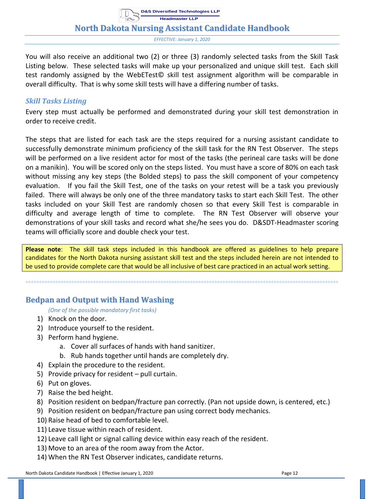*EFFECTIVE: January 1, 2020*

You will also receive an additional two (2) or three (3) randomly selected tasks from the Skill Task Listing below. These selected tasks will make up your personalized and unique skill test. Each skill test randomly assigned by the WebETest© skill test assignment algorithm will be comparable in overall difficulty. That is why some skill tests will have a differing number of tasks.

#### <span id="page-14-0"></span>*Skill Tasks Listing*

Every step must actually be performed and demonstrated during your skill test demonstration in order to receive credit.

The steps that are listed for each task are the steps required for a nursing assistant candidate to successfully demonstrate minimum proficiency of the skill task for the RN Test Observer. The steps will be performed on a live resident actor for most of the tasks (the perineal care tasks will be done on a manikin). You will be scored only on the steps listed. You must have a score of 80% on each task without missing any key steps (the Bolded steps) to pass the skill component of your competency evaluation. If you fail the Skill Test, one of the tasks on your retest will be a task you previously failed. There will always be only one of the three mandatory tasks to start each Skill Test. The other tasks included on your Skill Test are randomly chosen so that every Skill Test is comparable in difficulty and average length of time to complete. The RN Test Observer will observe your demonstrations of your skill tasks and record what she/he sees you do. D&SDT-Headmaster scoring teams will officially score and double check your test.

**Please note**: The skill task steps included in this handbook are offered as guidelines to help prepare candidates for the North Dakota nursing assistant skill test and the steps included herein are not intended to be used to provide complete care that would be all inclusive of best care practiced in an actual work setting.

<span id="page-14-1"></span>**\*\*\*\*\*\*\*\*\*\*\*\*\*\*\*\*\*\*\*\*\*\*\*\*\*\*\*\*\*\*\*\*\*\*\*\*\*\*\*\*\*\*\*\*\*\*\*\*\*\*\*\*\*\*\*\*\*\*\*\*\*\*\*\*\*\*\*\*\*\*\*\*\*\*\*\*\*\*\*\*\*\*\*\*\*\*\*\*\*\*\*\*\*\*\*\*\*\*\*\*\*\*\*\*\*\*\*\*\*\*\*\*\*\*\*\***

#### **Bedpan and Output with Hand Washing**

*(One of the possible mandatory first tasks)*

- 1) Knock on the door.
- 2) Introduce yourself to the resident.
- 3) Perform hand hygiene.
	- a. Cover all surfaces of hands with hand sanitizer.
	- b. Rub hands together until hands are completely dry.
- 4) Explain the procedure to the resident.
- 5) Provide privacy for resident pull curtain.
- 6) Put on gloves.
- 7) Raise the bed height.
- 8) Position resident on bedpan/fracture pan correctly. (Pan not upside down, is centered, etc.)
- 9) Position resident on bedpan/fracture pan using correct body mechanics.
- 10) Raise head of bed to comfortable level.
- 11) Leave tissue within reach of resident.
- 12) Leave call light or signal calling device within easy reach of the resident.
- 13) Move to an area of the room away from the Actor.
- 14) When the RN Test Observer indicates, candidate returns.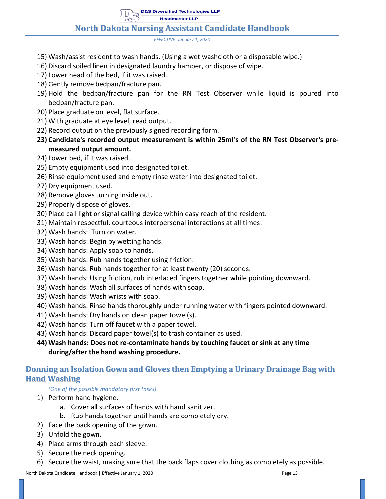## **North Dakota Nursing Assistant Candidate Handbook**

*EFFECTIVE: January 1, 2020*

- 15) Wash/assist resident to wash hands. (Using a wet washcloth or a disposable wipe.)
- 16) Discard soiled linen in designated laundry hamper, or dispose of wipe.
- 17) Lower head of the bed, if it was raised.
- 18) Gently remove bedpan/fracture pan.
- 19) Hold the bedpan/fracture pan for the RN Test Observer while liquid is poured into bedpan/fracture pan.
- 20) Place graduate on level, flat surface.
- 21) With graduate at eye level, read output.
- 22) Record output on the previously signed recording form.
- **23) Candidate's recorded output measurement is within 25ml's of the RN Test Observer's premeasured output amount.**
- 24) Lower bed, if it was raised.
- 25) Empty equipment used into designated toilet.
- 26) Rinse equipment used and empty rinse water into designated toilet.
- 27) Dry equipment used.
- 28) Remove gloves turning inside out.
- 29) Properly dispose of gloves.
- 30) Place call light or signal calling device within easy reach of the resident.
- 31) Maintain respectful, courteous interpersonal interactions at all times.
- 32) Wash hands: Turn on water.
- 33) Wash hands: Begin by wetting hands.
- 34) Wash hands: Apply soap to hands.
- 35) Wash hands: Rub hands together using friction.
- 36) Wash hands: Rub hands together for at least twenty (20) seconds.
- 37) Wash hands: Using friction, rub interlaced fingers together while pointing downward.
- 38) Wash hands: Wash all surfaces of hands with soap.
- 39) Wash hands: Wash wrists with soap.
- 40) Wash hands: Rinse hands thoroughly under running water with fingers pointed downward.
- 41) Wash hands: Dry hands on clean paper towel(s).
- 42) Wash hands: Turn off faucet with a paper towel.
- 43) Wash hands: Discard paper towel(s) to trash container as used.
- **44) Wash hands: Does not re-contaminate hands by touching faucet or sink at any time during/after the hand washing procedure.**

#### <span id="page-15-0"></span>**Donning an Isolation Gown and Gloves then Emptying a Urinary Drainage Bag with Hand Washing**

#### *(One of the possible mandatory first tasks)*

- 1) Perform hand hygiene.
	- a. Cover all surfaces of hands with hand sanitizer.
	- b. Rub hands together until hands are completely dry.
- 2) Face the back opening of the gown.
- 3) Unfold the gown.
- 4) Place arms through each sleeve.
- 5) Secure the neck opening.
- 6) Secure the waist, making sure that the back flaps cover clothing as completely as possible.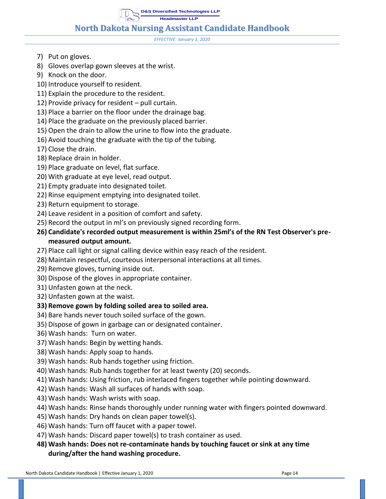**D&S Diversified Technologies LLP**

**Headmaster LLP**

#### **North Dakota Nursing Assistant Candidate Handbook**

*EFFECTIVE: January 1, 2020*

- 7) Put on gloves.
- 8) Gloves overlap gown sleeves at the wrist.
- 9) Knock on the door.
- 10) Introduce yourself to resident.
- 11) Explain the procedure to the resident.
- 12) Provide privacy for resident pull curtain.
- 13) Place a barrier on the floor under the drainage bag.
- 14) Place the graduate on the previously placed barrier.
- 15) Open the drain to allow the urine to flow into the graduate.
- 16) Avoid touching the graduate with the tip of the tubing.
- 17) Close the drain.
- 18) Replace drain in holder.
- 19) Place graduate on level, flat surface.
- 20) With graduate at eye level, read output.
- 21) Empty graduate into designated toilet.
- 22) Rinse equipment emptying into designated toilet.
- 23) Return equipment to storage.
- 24) Leave resident in a position of comfort and safety.
- 25) Record the output in ml's on previously signed recording form.
- **26) Candidate's recorded output measurement is within 25ml's of the RN Test Observer's premeasured output amount.**
- 27) Place call light or signal calling device within easy reach of the resident.
- 28) Maintain respectful, courteous interpersonal interactions at all times.
- 29) Remove gloves, turning inside out.
- 30) Dispose of the gloves in appropriate container.
- 31) Unfasten gown at the neck.
- 32) Unfasten gown at the waist.

#### **33) Remove gown by folding soiled area to soiled area.**

- 34) Bare hands never touch soiled surface of the gown.
- 35) Dispose of gown in garbage can or designated container.
- 36) Wash hands: Turn on water.
- 37) Wash hands: Begin by wetting hands.
- 38) Wash hands: Apply soap to hands.
- 39) Wash hands: Rub hands together using friction.
- 40) Wash hands: Rub hands together for at least twenty (20) seconds.
- 41) Wash hands: Using friction, rub interlaced fingers together while pointing downward.
- 42) Wash hands: Wash all surfaces of hands with soap.
- 43) Wash hands: Wash wrists with soap.
- 44) Wash hands: Rinse hands thoroughly under running water with fingers pointed downward.
- 45) Wash hands: Dry hands on clean paper towel(s).
- 46) Wash hands: Turn off faucet with a paper towel.
- 47) Wash hands: Discard paper towel(s) to trash container as used.
- **48) Wash hands: Does not re-contaminate hands by touching faucet or sink at any time during/after the hand washing procedure.**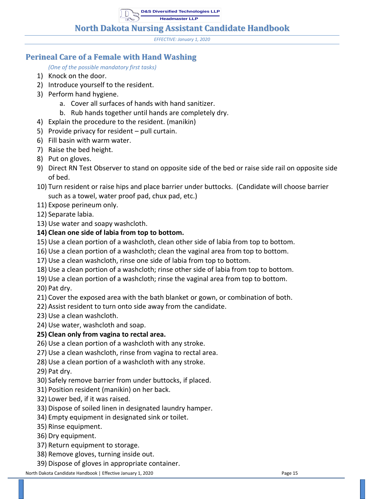**North Dakota Nursing Assistant Candidate Handbook**

*EFFECTIVE: January 1, 2020*

## <span id="page-17-0"></span>**Perineal Care of a Female with Hand Washing**

*(One of the possible mandatory first tasks)*

- 1) Knock on the door.
- 2) Introduce yourself to the resident.
- 3) Perform hand hygiene.
	- a. Cover all surfaces of hands with hand sanitizer.
	- b. Rub hands together until hands are completely dry.
- 4) Explain the procedure to the resident. (manikin)
- 5) Provide privacy for resident pull curtain.
- 6) Fill basin with warm water.
- 7) Raise the bed height.
- 8) Put on gloves.
- 9) Direct RN Test Observer to stand on opposite side of the bed or raise side rail on opposite side of bed.
- 10) Turn resident or raise hips and place barrier under buttocks. (Candidate will choose barrier such as a towel, water proof pad, chux pad, etc.)
- 11) Expose perineum only.
- 12) Separate labia.
- 13) Use water and soapy washcloth.

#### **14) Clean one side of labia from top to bottom.**

- 15) Use a clean portion of a washcloth, clean other side of labia from top to bottom.
- 16) Use a clean portion of a washcloth; clean the vaginal area from top to bottom.
- 17) Use a clean washcloth, rinse one side of labia from top to bottom.
- 18) Use a clean portion of a washcloth; rinse other side of labia from top to bottom.
- 19) Use a clean portion of a washcloth; rinse the vaginal area from top to bottom.

20) Pat dry.

- 21) Cover the exposed area with the bath blanket or gown, or combination of both.
- 22) Assist resident to turn onto side away from the candidate.
- 23) Use a clean washcloth.
- 24) Use water, washcloth and soap.

#### **25) Clean only from vagina to rectal area.**

- 26) Use a clean portion of a washcloth with any stroke.
- 27) Use a clean washcloth, rinse from vagina to rectal area.
- 28) Use a clean portion of a washcloth with any stroke.

29) Pat dry.

- 30) Safely remove barrier from under buttocks, if placed.
- 31) Position resident (manikin) on her back.
- 32) Lower bed, if it was raised.
- 33) Dispose of soiled linen in designated laundry hamper.
- 34) Empty equipment in designated sink or toilet.
- 35) Rinse equipment.
- 36) Dry equipment.
- 37) Return equipment to storage.
- 38) Remove gloves, turning inside out.
- 39) Dispose of gloves in appropriate container.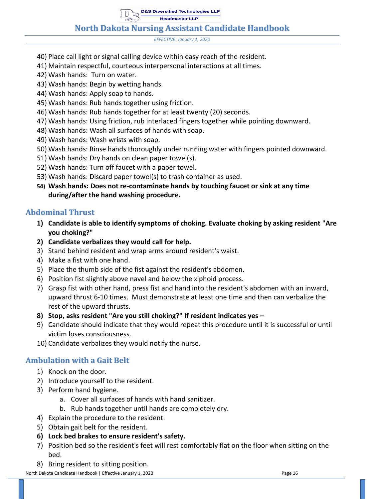## **North Dakota Nursing Assistant Candidate Handbook**

*EFFECTIVE: January 1, 2020*

- 40) Place call light or signal calling device within easy reach of the resident.
- 41) Maintain respectful, courteous interpersonal interactions at all times.
- 42) Wash hands: Turn on water.
- 43) Wash hands: Begin by wetting hands.
- 44) Wash hands: Apply soap to hands.
- 45) Wash hands: Rub hands together using friction.
- 46) Wash hands: Rub hands together for at least twenty (20) seconds.
- 47) Wash hands: Using friction, rub interlaced fingers together while pointing downward.
- 48) Wash hands: Wash all surfaces of hands with soap.
- 49) Wash hands: Wash wrists with soap.
- 50) Wash hands: Rinse hands thoroughly under running water with fingers pointed downward.
- 51) Wash hands: Dry hands on clean paper towel(s).
- 52) Wash hands: Turn off faucet with a paper towel.
- 53) Wash hands: Discard paper towel(s) to trash container as used.
- **54) Wash hands: Does not re-contaminate hands by touching faucet or sink at any time during/after the hand washing procedure.**

#### <span id="page-18-0"></span>**Abdominal Thrust**

- **1) Candidate is able to identify symptoms of choking. Evaluate choking by asking resident "Are you choking?"**
- **2) Candidate verbalizes they would call for help.**
- 3) Stand behind resident and wrap arms around resident's waist.
- 4) Make a fist with one hand.
- 5) Place the thumb side of the fist against the resident's abdomen.
- 6) Position fist slightly above navel and below the xiphoid process.
- 7) Grasp fist with other hand, press fist and hand into the resident's abdomen with an inward, upward thrust 6-10 times. Must demonstrate at least one time and then can verbalize the rest of the upward thrusts.
- **8) Stop, asks resident "Are you still choking?" If resident indicates yes –**
- 9) Candidate should indicate that they would repeat this procedure until it is successful or until victim loses consciousness.
- 10) Candidate verbalizes they would notify the nurse.

#### <span id="page-18-1"></span>**Ambulation with a Gait Belt**

- 1) Knock on the door.
- 2) Introduce yourself to the resident.
- 3) Perform hand hygiene.
	- a. Cover all surfaces of hands with hand sanitizer.
	- b. Rub hands together until hands are completely dry.
- 4) Explain the procedure to the resident.
- 5) Obtain gait belt for the resident.
- **6) Lock bed brakes to ensure resident's safety.**
- 7) Position bed so the resident's feet will rest comfortably flat on the floor when sitting on the bed.
- 8) Bring resident to sitting position.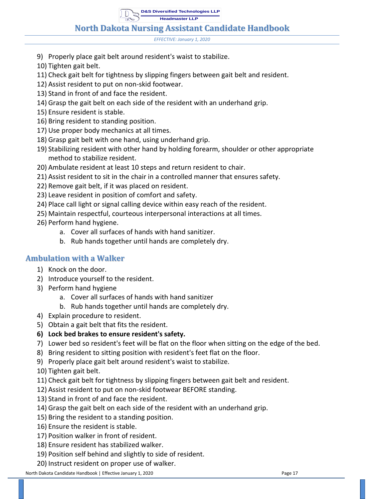**North Dakota Nursing Assistant Candidate Handbook**

*EFFECTIVE: January 1, 2020*

- 9) Properly place gait belt around resident's waist to stabilize.
- 10) Tighten gait belt.
- 11) Check gait belt for tightness by slipping fingers between gait belt and resident.
- 12) Assist resident to put on non-skid footwear.
- 13) Stand in front of and face the resident.
- 14) Grasp the gait belt on each side of the resident with an underhand grip.
- 15) Ensure resident is stable.
- 16) Bring resident to standing position.
- 17) Use proper body mechanics at all times.
- 18) Grasp gait belt with one hand, using underhand grip.
- 19) Stabilizing resident with other hand by holding forearm, shoulder or other appropriate method to stabilize resident.
- 20) Ambulate resident at least 10 steps and return resident to chair.
- 21) Assist resident to sit in the chair in a controlled manner that ensures safety.
- 22) Remove gait belt, if it was placed on resident.
- 23) Leave resident in position of comfort and safety.
- 24) Place call light or signal calling device within easy reach of the resident.
- 25) Maintain respectful, courteous interpersonal interactions at all times.
- 26) Perform hand hygiene.
	- a. Cover all surfaces of hands with hand sanitizer.
	- b. Rub hands together until hands are completely dry.

#### <span id="page-19-0"></span>**Ambulation with a Walker**

- 1) Knock on the door.
- 2) Introduce yourself to the resident.
- 3) Perform hand hygiene
	- a. Cover all surfaces of hands with hand sanitizer
	- b. Rub hands together until hands are completely dry.
- 4) Explain procedure to resident.
- 5) Obtain a gait belt that fits the resident.
- **6) Lock bed brakes to ensure resident's safety.**
- 7) Lower bed so resident's feet will be flat on the floor when sitting on the edge of the bed.
- 8) Bring resident to sitting position with resident's feet flat on the floor.
- 9) Properly place gait belt around resident's waist to stabilize.
- 10) Tighten gait belt.
- 11) Check gait belt for tightness by slipping fingers between gait belt and resident.
- 12) Assist resident to put on non-skid footwear BEFORE standing.
- 13) Stand in front of and face the resident.
- 14) Grasp the gait belt on each side of the resident with an underhand grip.
- 15) Bring the resident to a standing position.
- 16) Ensure the resident is stable.
- 17) Position walker in front of resident.
- 18) Ensure resident has stabilized walker.
- 19) Position self behind and slightly to side of resident.
- 20) Instruct resident on proper use of walker.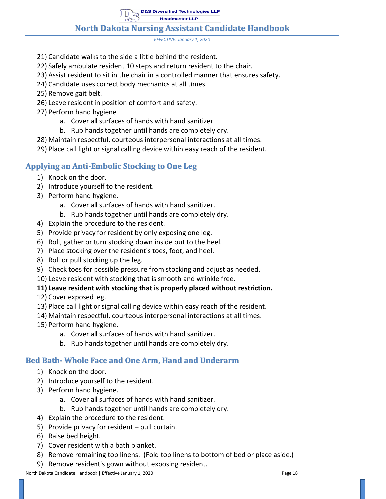**North Dakota Nursing Assistant Candidate Handbook**

*EFFECTIVE: January 1, 2020*

- 21) Candidate walks to the side a little behind the resident.
- 22) Safely ambulate resident 10 steps and return resident to the chair.
- 23) Assist resident to sit in the chair in a controlled manner that ensures safety.
- 24) Candidate uses correct body mechanics at all times.
- 25) Remove gait belt.
- 26) Leave resident in position of comfort and safety.
- 27) Perform hand hygiene
	- a. Cover all surfaces of hands with hand sanitizer
	- b. Rub hands together until hands are completely dry.
- 28) Maintain respectful, courteous interpersonal interactions at all times.
- 29) Place call light or signal calling device within easy reach of the resident.

## <span id="page-20-0"></span>**Applying an Anti-Embolic Stocking to One Leg**

- 1) Knock on the door.
- 2) Introduce yourself to the resident.
- 3) Perform hand hygiene.
	- a. Cover all surfaces of hands with hand sanitizer.
	- b. Rub hands together until hands are completely dry.
- 4) Explain the procedure to the resident.
- 5) Provide privacy for resident by only exposing one leg.
- 6) Roll, gather or turn stocking down inside out to the heel.
- 7) Place stocking over the resident's toes, foot, and heel.
- 8) Roll or pull stocking up the leg.
- 9) Check toes for possible pressure from stocking and adjust as needed.
- 10) Leave resident with stocking that is smooth and wrinkle free.

#### **11) Leave resident with stocking that is properly placed without restriction.**

- 12) Cover exposed leg.
- 13) Place call light or signal calling device within easy reach of the resident.
- 14) Maintain respectful, courteous interpersonal interactions at all times.
- 15) Perform hand hygiene.
	- a. Cover all surfaces of hands with hand sanitizer.
	- b. Rub hands together until hands are completely dry.

#### <span id="page-20-1"></span>**Bed Bath- Whole Face and One Arm, Hand and Underarm**

- 1) Knock on the door.
- 2) Introduce yourself to the resident.
- 3) Perform hand hygiene.
	- a. Cover all surfaces of hands with hand sanitizer.
	- b. Rub hands together until hands are completely dry.
- 4) Explain the procedure to the resident.
- 5) Provide privacy for resident pull curtain.
- 6) Raise bed height.
- 7) Cover resident with a bath blanket.
- 8) Remove remaining top linens. (Fold top linens to bottom of bed or place aside.)
- 9) Remove resident's gown without exposing resident.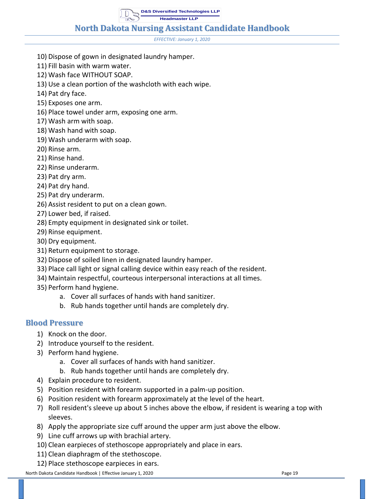**North Dakota Nursing Assistant Candidate Handbook**

*EFFECTIVE: January 1, 2020*

- 10) Dispose of gown in designated laundry hamper.
- 11) Fill basin with warm water.
- 12) Wash face WITHOUT SOAP.
- 13) Use a clean portion of the washcloth with each wipe.
- 14) Pat dry face.
- 15) Exposes one arm.
- 16) Place towel under arm, exposing one arm.
- 17) Wash arm with soap.
- 18) Wash hand with soap.
- 19) Wash underarm with soap.
- 20) Rinse arm.
- 21) Rinse hand.
- 22) Rinse underarm.
- 23) Pat dry arm.
- 24) Pat dry hand.
- 25) Pat dry underarm.
- 26) Assist resident to put on a clean gown.
- 27) Lower bed, if raised.
- 28) Empty equipment in designated sink or toilet.
- 29) Rinse equipment.
- 30) Dry equipment.
- 31) Return equipment to storage.
- 32) Dispose of soiled linen in designated laundry hamper.
- 33) Place call light or signal calling device within easy reach of the resident.
- 34) Maintain respectful, courteous interpersonal interactions at all times.
- 35) Perform hand hygiene.
	- a. Cover all surfaces of hands with hand sanitizer.
	- b. Rub hands together until hands are completely dry.

#### <span id="page-21-0"></span>**Blood Pressure**

- 1) Knock on the door.
- 2) Introduce yourself to the resident.
- 3) Perform hand hygiene.
	- a. Cover all surfaces of hands with hand sanitizer.
	- b. Rub hands together until hands are completely dry.
- 4) Explain procedure to resident.
- 5) Position resident with forearm supported in a palm-up position.
- 6) Position resident with forearm approximately at the level of the heart.
- 7) Roll resident's sleeve up about 5 inches above the elbow, if resident is wearing a top with sleeves.
- 8) Apply the appropriate size cuff around the upper arm just above the elbow.
- 9) Line cuff arrows up with brachial artery.
- 10) Clean earpieces of stethoscope appropriately and place in ears.
- 11) Clean diaphragm of the stethoscope.
- 12) Place stethoscope earpieces in ears.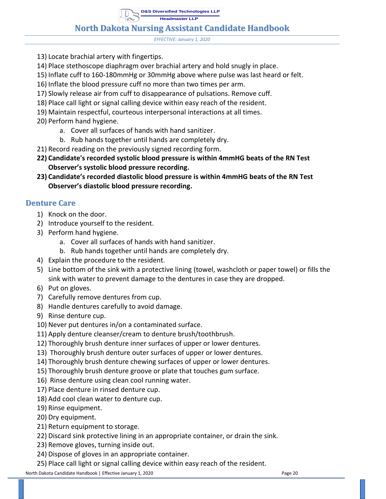## **North Dakota Nursing Assistant Candidate Handbook**

*EFFECTIVE: January 1, 2020*

- 13) Locate brachial artery with fingertips.
- 14) Place stethoscope diaphragm over brachial artery and hold snugly in place.
- 15) Inflate cuff to 160-180mmHg or 30mmHg above where pulse was last heard or felt.
- 16) Inflate the blood pressure cuff no more than two times per arm.
- 17) Slowly release air from cuff to disappearance of pulsations. Remove cuff.
- 18) Place call light or signal calling device within easy reach of the resident.
- 19) Maintain respectful, courteous interpersonal interactions at all times.
- 20) Perform hand hygiene.
	- a. Cover all surfaces of hands with hand sanitizer.
	- b. Rub hands together until hands are completely dry.
- 21) Record reading on the previously signed recording form.
- **22) Candidate's recorded systolic blood pressure is within 4mmHG beats of the RN Test Observer's systolic blood pressure recording.**
- **23) Candidate's recorded diastolic blood pressure is within 4mmHG beats of the RN Test Observer's diastolic blood pressure recording.**

#### <span id="page-22-0"></span>**Denture Care**

- 1) Knock on the door.
- 2) Introduce yourself to the resident.
- 3) Perform hand hygiene.
	- a. Cover all surfaces of hands with hand sanitizer.
	- b. Rub hands together until hands are completely dry.
- 4) Explain the procedure to the resident.
- 5) Line bottom of the sink with a protective lining (towel, washcloth or paper towel) or fills the sink with water to prevent damage to the dentures in case they are dropped.
- 6) Put on gloves.
- 7) Carefully remove dentures from cup.
- 8) Handle dentures carefully to avoid damage.
- 9) Rinse denture cup.
- 10) Never put dentures in/on a contaminated surface.
- 11) Apply denture cleanser/cream to denture brush/toothbrush.
- 12) Thoroughly brush denture inner surfaces of upper or lower dentures.
- 13) Thoroughly brush denture outer surfaces of upper or lower dentures.
- 14) Thoroughly brush denture chewing surfaces of upper or lower dentures.
- 15) Thoroughly brush denture groove or plate that touches gum surface.
- 16) Rinse denture using clean cool running water.
- 17) Place denture in rinsed denture cup.
- 18) Add cool clean water to denture cup.
- 19) Rinse equipment.
- 20) Dry equipment.
- 21) Return equipment to storage.
- 22) Discard sink protective lining in an appropriate container, or drain the sink.
- 23) Remove gloves, turning inside out.
- 24) Dispose of gloves in an appropriate container.
- 25) Place call light or signal calling device within easy reach of the resident.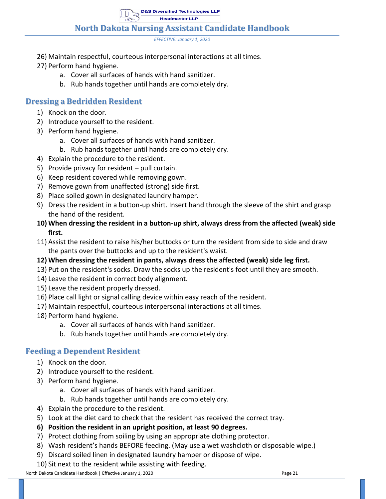**North Dakota Nursing Assistant Candidate Handbook**

*EFFECTIVE: January 1, 2020*

- 26) Maintain respectful, courteous interpersonal interactions at all times.
- 27) Perform hand hygiene.
	- a. Cover all surfaces of hands with hand sanitizer.
	- b. Rub hands together until hands are completely dry.

## <span id="page-23-0"></span>**Dressing a Bedridden Resident**

- 1) Knock on the door.
- 2) Introduce yourself to the resident.
- 3) Perform hand hygiene.
	- a. Cover all surfaces of hands with hand sanitizer.
	- b. Rub hands together until hands are completely dry.
- 4) Explain the procedure to the resident.
- 5) Provide privacy for resident pull curtain.
- 6) Keep resident covered while removing gown.
- 7) Remove gown from unaffected (strong) side first.
- 8) Place soiled gown in designated laundry hamper.
- 9) Dress the resident in a button-up shirt. Insert hand through the sleeve of the shirt and grasp the hand of the resident.
- **10) When dressing the resident in a button-up shirt, always dress from the affected (weak) side first.**
- 11) Assist the resident to raise his/her buttocks or turn the resident from side to side and draw the pants over the buttocks and up to the resident's waist.
- **12) When dressing the resident in pants, always dress the affected (weak) side leg first.**
- 13) Put on the resident's socks. Draw the socks up the resident's foot until they are smooth.
- 14) Leave the resident in correct body alignment.
- 15) Leave the resident properly dressed.
- 16) Place call light or signal calling device within easy reach of the resident.
- 17) Maintain respectful, courteous interpersonal interactions at all times.
- 18) Perform hand hygiene.
	- a. Cover all surfaces of hands with hand sanitizer.
	- b. Rub hands together until hands are completely dry.

## <span id="page-23-1"></span>**Feeding a Dependent Resident**

- 1) Knock on the door.
- 2) Introduce yourself to the resident.
- 3) Perform hand hygiene.
	- a. Cover all surfaces of hands with hand sanitizer.
	- b. Rub hands together until hands are completely dry.
- 4) Explain the procedure to the resident.
- 5) Look at the diet card to check that the resident has received the correct tray.
- **6) Position the resident in an upright position, at least 90 degrees.**
- 7) Protect clothing from soiling by using an appropriate clothing protector.
- 8) Wash resident's hands BEFORE feeding. (May use a wet washcloth or disposable wipe.)
- 9) Discard soiled linen in designated laundry hamper or dispose of wipe.
- 10) Sit next to the resident while assisting with feeding.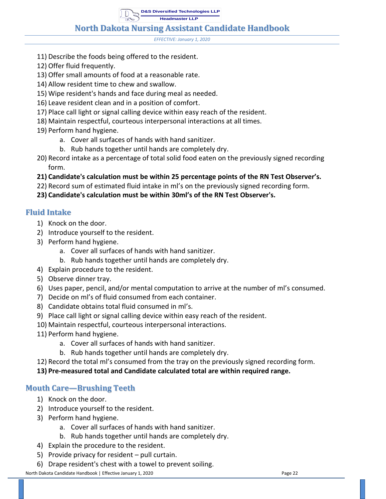*EFFECTIVE: January 1, 2020*

- 11) Describe the foods being offered to the resident.
- 12) Offer fluid frequently.
- 13) Offer small amounts of food at a reasonable rate.
- 14) Allow resident time to chew and swallow.
- 15) Wipe resident's hands and face during meal as needed.
- 16) Leave resident clean and in a position of comfort.
- 17) Place call light or signal calling device within easy reach of the resident.
- 18) Maintain respectful, courteous interpersonal interactions at all times.
- 19) Perform hand hygiene.
	- a. Cover all surfaces of hands with hand sanitizer.
	- b. Rub hands together until hands are completely dry.
- 20) Record intake as a percentage of total solid food eaten on the previously signed recording form.
- **21) Candidate's calculation must be within 25 percentage points of the RN Test Observer's.**
- 22) Record sum of estimated fluid intake in ml's on the previously signed recording form.
- **23) Candidate's calculation must be within 30ml's of the RN Test Observer's.**

#### <span id="page-24-0"></span>**Fluid Intake**

- 1) Knock on the door.
- 2) Introduce yourself to the resident.
- 3) Perform hand hygiene.
	- a. Cover all surfaces of hands with hand sanitizer.
	- b. Rub hands together until hands are completely dry.
- 4) Explain procedure to the resident.
- 5) Observe dinner tray.
- 6) Uses paper, pencil, and/or mental computation to arrive at the number of ml's consumed.
- 7) Decide on ml's of fluid consumed from each container.
- 8) Candidate obtains total fluid consumed in ml's.
- 9) Place call light or signal calling device within easy reach of the resident.
- 10) Maintain respectful, courteous interpersonal interactions.
- 11) Perform hand hygiene.
	- a. Cover all surfaces of hands with hand sanitizer.
	- b. Rub hands together until hands are completely dry.
- 12) Record the total ml's consumed from the tray on the previously signed recording form.
- **13) Pre-measured total and Candidate calculated total are within required range.**

#### <span id="page-24-1"></span>**Mouth Care—Brushing Teeth**

- 1) Knock on the door.
- 2) Introduce yourself to the resident.
- 3) Perform hand hygiene.
	- a. Cover all surfaces of hands with hand sanitizer.
	- b. Rub hands together until hands are completely dry.
- 4) Explain the procedure to the resident.
- 5) Provide privacy for resident pull curtain.
- 6) Drape resident's chest with a towel to prevent soiling.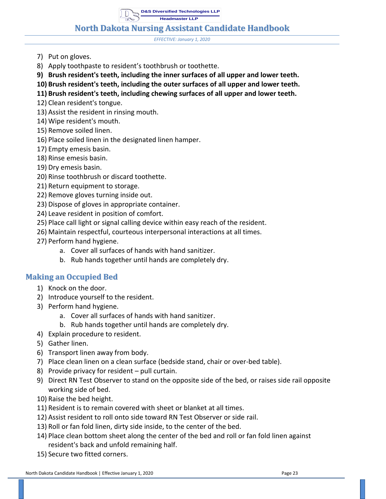**D&S Diversified Technologies LLP**

**Headmaster LLP**

**North Dakota Nursing Assistant Candidate Handbook**

*EFFECTIVE: January 1, 2020*

- 7) Put on gloves.
- 8) Apply toothpaste to resident's toothbrush or toothette.
- **9) Brush resident's teeth, including the inner surfaces of all upper and lower teeth.**
- **10) Brush resident's teeth, including the outer surfaces of all upper and lower teeth.**
- **11) Brush resident's teeth, including chewing surfaces of all upper and lower teeth.**
- 12) Clean resident's tongue.
- 13) Assist the resident in rinsing mouth.
- 14) Wipe resident's mouth.
- 15) Remove soiled linen.
- 16) Place soiled linen in the designated linen hamper.
- 17) Empty emesis basin.
- 18) Rinse emesis basin.
- 19) Dry emesis basin.
- 20) Rinse toothbrush or discard toothette.
- 21) Return equipment to storage.
- 22) Remove gloves turning inside out.
- 23) Dispose of gloves in appropriate container.
- 24) Leave resident in position of comfort.
- 25) Place call light or signal calling device within easy reach of the resident.
- 26) Maintain respectful, courteous interpersonal interactions at all times.
- 27) Perform hand hygiene.
	- a. Cover all surfaces of hands with hand sanitizer.
	- b. Rub hands together until hands are completely dry.

#### <span id="page-25-0"></span>**Making an Occupied Bed**

- 1) Knock on the door.
- 2) Introduce yourself to the resident.
- 3) Perform hand hygiene.
	- a. Cover all surfaces of hands with hand sanitizer.
	- b. Rub hands together until hands are completely dry.
- 4) Explain procedure to resident.
- 5) Gather linen.
- 6) Transport linen away from body.
- 7) Place clean linen on a clean surface (bedside stand, chair or over-bed table).
- 8) Provide privacy for resident pull curtain.
- 9) Direct RN Test Observer to stand on the opposite side of the bed, or raises side rail opposite working side of bed.
- 10) Raise the bed height.
- 11) Resident is to remain covered with sheet or blanket at all times.
- 12) Assist resident to roll onto side toward RN Test Observer or side rail.
- 13) Roll or fan fold linen, dirty side inside, to the center of the bed.
- 14) Place clean bottom sheet along the center of the bed and roll or fan fold linen against resident's back and unfold remaining half.
- 15) Secure two fitted corners.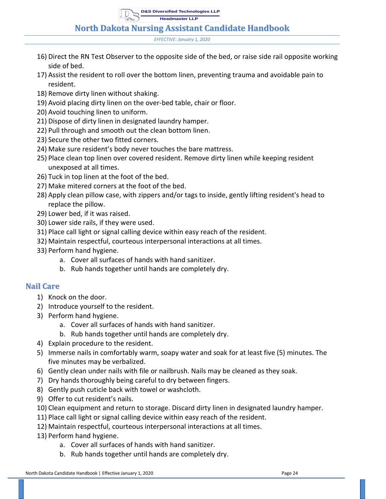**North Dakota Nursing Assistant Candidate Handbook**

*EFFECTIVE: January 1, 2020*

- 16) Direct the RN Test Observer to the opposite side of the bed, or raise side rail opposite working side of bed.
- 17) Assist the resident to roll over the bottom linen, preventing trauma and avoidable pain to resident.
- 18) Remove dirty linen without shaking.
- 19) Avoid placing dirty linen on the over-bed table, chair or floor.
- 20) Avoid touching linen to uniform.
- 21) Dispose of dirty linen in designated laundry hamper.
- 22) Pull through and smooth out the clean bottom linen.
- 23) Secure the other two fitted corners.
- 24) Make sure resident's body never touches the bare mattress.
- 25) Place clean top linen over covered resident. Remove dirty linen while keeping resident unexposed at all times.
- 26) Tuck in top linen at the foot of the bed.
- 27) Make mitered corners at the foot of the bed.
- 28) Apply clean pillow case, with zippers and/or tags to inside, gently lifting resident's head to replace the pillow.
- 29) Lower bed, if it was raised.
- 30) Lower side rails, if they were used.
- 31) Place call light or signal calling device within easy reach of the resident.
- 32) Maintain respectful, courteous interpersonal interactions at all times.
- 33) Perform hand hygiene.
	- a. Cover all surfaces of hands with hand sanitizer.
	- b. Rub hands together until hands are completely dry.

#### <span id="page-26-0"></span>**Nail Care**

- 1) Knock on the door.
- 2) Introduce yourself to the resident.
- 3) Perform hand hygiene.
	- a. Cover all surfaces of hands with hand sanitizer.
	- b. Rub hands together until hands are completely dry.
- 4) Explain procedure to the resident.
- 5) Immerse nails in comfortably warm, soapy water and soak for at least five (5) minutes. The five minutes may be verbalized.
- 6) Gently clean under nails with file or nailbrush. Nails may be cleaned as they soak.
- 7) Dry hands thoroughly being careful to dry between fingers.
- 8) Gently push cuticle back with towel or washcloth.
- 9) Offer to cut resident's nails.
- 10) Clean equipment and return to storage. Discard dirty linen in designated laundry hamper.
- 11) Place call light or signal calling device within easy reach of the resident.
- 12) Maintain respectful, courteous interpersonal interactions at all times.
- 13) Perform hand hygiene.
	- a. Cover all surfaces of hands with hand sanitizer.
	- b. Rub hands together until hands are completely dry.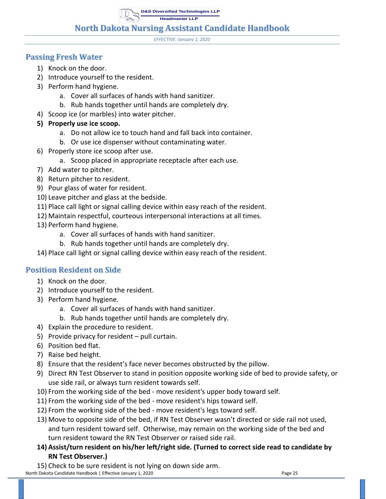**D&S Diversified Technologies LLP**

**Headmaster LLP**

**North Dakota Nursing Assistant Candidate Handbook**

*EFFECTIVE: January 1, 2020*

#### <span id="page-27-0"></span>**Passing Fresh Water**

- 1) Knock on the door.
- 2) Introduce yourself to the resident.
- 3) Perform hand hygiene.
	- a. Cover all surfaces of hands with hand sanitizer.
	- b. Rub hands together until hands are completely dry.
- 4) Scoop ice (or marbles) into water pitcher.
- **5) Properly use ice scoop.** 
	- a. Do not allow ice to touch hand and fall back into container.
	- b. Or use ice dispenser without contaminating water.
- 6) Properly store ice scoop after use.
	- a. Scoop placed in appropriate receptacle after each use.
- 7) Add water to pitcher.
- 8) Return pitcher to resident.
- 9) Pour glass of water for resident.
- 10) Leave pitcher and glass at the bedside.
- 11) Place call light or signal calling device within easy reach of the resident.
- 12) Maintain respectful, courteous interpersonal interactions at all times.
- 13) Perform hand hygiene.
	- a. Cover all surfaces of hands with hand sanitizer.
	- b. Rub hands together until hands are completely dry.
- 14) Place call light or signal calling device within easy reach of the resident.

#### <span id="page-27-1"></span>**Position Resident on Side**

- 1) Knock on the door.
- 2) Introduce yourself to the resident.
- 3) Perform hand hygiene.
	- a. Cover all surfaces of hands with hand sanitizer.
	- b. Rub hands together until hands are completely dry.
- 4) Explain the procedure to resident.
- 5) Provide privacy for resident pull curtain.
- 6) Position bed flat.
- 7) Raise bed height.
- 8) Ensure that the resident's face never becomes obstructed by the pillow.
- 9) Direct RN Test Observer to stand in position opposite working side of bed to provide safety, or use side rail, or always turn resident towards self.
- 10) From the working side of the bed move resident's upper body toward self.
- 11) From the working side of the bed move resident's hips toward self.
- 12) From the working side of the bed move resident's legs toward self.
- 13) Move to opposite side of the bed, if RN Test Observer wasn't directed or side rail not used, and turn resident toward self. Otherwise, may remain on the working side of the bed and turn resident toward the RN Test Observer or raised side rail.
- **14) Assist/turn resident on his/her left/right side. (Turned to correct side read to candidate by RN Test Observer.)**

North Dakota Candidate Handbook | Effective January 1, 2020 **Page 25** Page 25 15) Check to be sure resident is not lying on down side arm.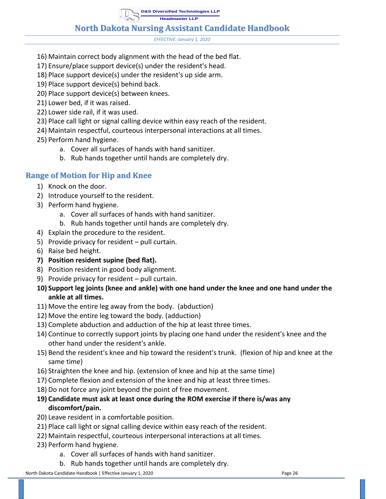## **North Dakota Nursing Assistant Candidate Handbook**

*EFFECTIVE: January 1, 2020*

- 16) Maintain correct body alignment with the head of the bed flat.
- 17) Ensure/place support device(s) under the resident's head.
- 18) Place support device(s) under the resident's up side arm.
- 19) Place support device(s) behind back.
- 20) Place support device(s) between knees.
- 21) Lower bed, if it was raised.
- 22) Lower side rail, if it was used.
- 23) Place call light or signal calling device within easy reach of the resident.
- 24) Maintain respectful, courteous interpersonal interactions at all times.
- 25) Perform hand hygiene.
	- a. Cover all surfaces of hands with hand sanitizer.
	- b. Rub hands together until hands are completely dry.

#### <span id="page-28-0"></span>**Range of Motion for Hip and Knee**

- 1) Knock on the door.
- 2) Introduce yourself to the resident.
- 3) Perform hand hygiene.
	- a. Cover all surfaces of hands with hand sanitizer.
	- b. Rub hands together until hands are completely dry.
- 4) Explain the procedure to the resident.
- 5) Provide privacy for resident pull curtain.
- 6) Raise bed height.
- **7) Position resident supine (bed flat).**
- 8) Position resident in good body alignment.
- 9) Provide privacy for resident pull curtain.

#### **10) Support leg joints (knee and ankle) with one hand under the knee and one hand under the ankle at all times.**

- 11) Move the entire leg away from the body. (abduction)
- 12) Move the entire leg toward the body. (adduction)
- 13) Complete abduction and adduction of the hip at least three times.
- 14) Continue to correctly support joints by placing one hand under the resident's knee and the other hand under the resident's ankle.
- 15) Bend the resident's knee and hip toward the resident's trunk. (flexion of hip and knee at the same time)
- 16) Straighten the knee and hip. (extension of knee and hip at the same time)
- 17) Complete flexion and extension of the knee and hip at least three times.
- 18) Do not force any joint beyond the point of free movement.
- **19) Candidate must ask at least once during the ROM exercise if there is/was any discomfort/pain.**
- 20) Leave resident in a comfortable position.
- 21) Place call light or signal calling device within easy reach of the resident.
- 22) Maintain respectful, courteous interpersonal interactions at all times.
- 23) Perform hand hygiene.
	- a. Cover all surfaces of hands with hand sanitizer.
	- b. Rub hands together until hands are completely dry.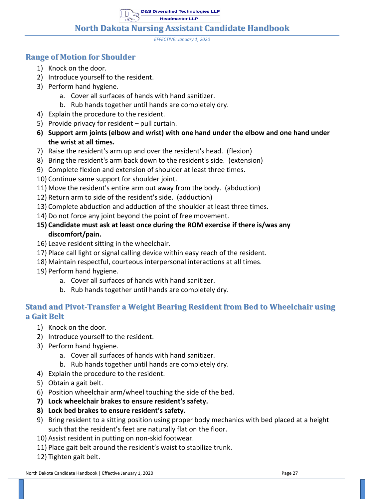**D&S Diversified Technologies LLP**

**Headmaster LLP**

#### **North Dakota Nursing Assistant Candidate Handbook**

*EFFECTIVE: January 1, 2020*

#### <span id="page-29-0"></span>**Range of Motion for Shoulder**

- 1) Knock on the door.
- 2) Introduce yourself to the resident.
- 3) Perform hand hygiene.
	- a. Cover all surfaces of hands with hand sanitizer.
	- b. Rub hands together until hands are completely dry.
- 4) Explain the procedure to the resident.
- 5) Provide privacy for resident pull curtain.
- **6) Support arm joints (elbow and wrist) with one hand under the elbow and one hand under the wrist at all times.**
- 7) Raise the resident's arm up and over the resident's head. (flexion)
- 8) Bring the resident's arm back down to the resident's side. (extension)
- 9) Complete flexion and extension of shoulder at least three times.
- 10) Continue same support for shoulder joint.
- 11) Move the resident's entire arm out away from the body. (abduction)
- 12) Return arm to side of the resident's side. (adduction)
- 13) Complete abduction and adduction of the shoulder at least three times.
- 14) Do not force any joint beyond the point of free movement.
- **15) Candidate must ask at least once during the ROM exercise if there is/was any discomfort/pain.**
- 16) Leave resident sitting in the wheelchair.
- 17) Place call light or signal calling device within easy reach of the resident.
- 18) Maintain respectful, courteous interpersonal interactions at all times.
- 19) Perform hand hygiene.
	- a. Cover all surfaces of hands with hand sanitizer.
	- b. Rub hands together until hands are completely dry.

## <span id="page-29-1"></span>**Stand and Pivot-Transfer a Weight Bearing Resident from Bed to Wheelchair using a Gait Belt**

- 1) Knock on the door.
- 2) Introduce yourself to the resident.
- 3) Perform hand hygiene.
	- a. Cover all surfaces of hands with hand sanitizer.
	- b. Rub hands together until hands are completely dry.
- 4) Explain the procedure to the resident.
- 5) Obtain a gait belt.
- 6) Position wheelchair arm/wheel touching the side of the bed.
- **7) Lock wheelchair brakes to ensure resident's safety.**
- **8) Lock bed brakes to ensure resident's safety.**
- 9) Bring resident to a sitting position using proper body mechanics with bed placed at a height such that the resident's feet are naturally flat on the floor.
- 10) Assist resident in putting on non-skid footwear.
- 11) Place gait belt around the resident's waist to stabilize trunk.
- 12) Tighten gait belt.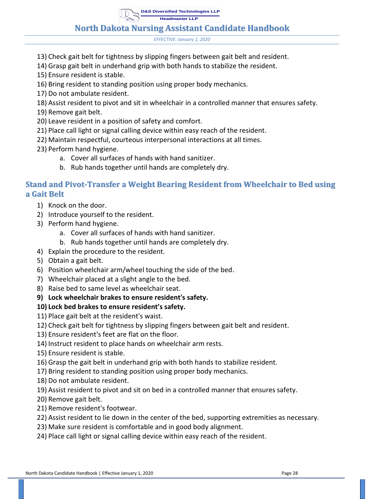**North Dakota Nursing Assistant Candidate Handbook**

*EFFECTIVE: January 1, 2020*

- 13) Check gait belt for tightness by slipping fingers between gait belt and resident.
- 14) Grasp gait belt in underhand grip with both hands to stabilize the resident.
- 15) Ensure resident is stable.
- 16) Bring resident to standing position using proper body mechanics.
- 17) Do not ambulate resident.
- 18) Assist resident to pivot and sit in wheelchair in a controlled manner that ensures safety.
- 19) Remove gait belt.
- 20) Leave resident in a position of safety and comfort.
- 21) Place call light or signal calling device within easy reach of the resident.
- 22) Maintain respectful, courteous interpersonal interactions at all times.
- 23) Perform hand hygiene.
	- a. Cover all surfaces of hands with hand sanitizer.
	- b. Rub hands together until hands are completely dry.

#### <span id="page-30-0"></span>**Stand and Pivot-Transfer a Weight Bearing Resident from Wheelchair to Bed using a Gait Belt**

- 1) Knock on the door.
- 2) Introduce yourself to the resident.
- 3) Perform hand hygiene.
	- a. Cover all surfaces of hands with hand sanitizer.
	- b. Rub hands together until hands are completely dry.
- 4) Explain the procedure to the resident.
- 5) Obtain a gait belt.
- 6) Position wheelchair arm/wheel touching the side of the bed.
- 7) Wheelchair placed at a slight angle to the bed.
- 8) Raise bed to same level as wheelchair seat.
- **9) Lock wheelchair brakes to ensure resident's safety.**

#### **10) Lock bed brakes to ensure resident's safety.**

- 11) Place gait belt at the resident's waist.
- 12) Check gait belt for tightness by slipping fingers between gait belt and resident.
- 13) Ensure resident's feet are flat on the floor.
- 14) Instruct resident to place hands on wheelchair arm rests.
- 15) Ensure resident is stable.
- 16) Grasp the gait belt in underhand grip with both hands to stabilize resident.
- 17) Bring resident to standing position using proper body mechanics.
- 18) Do not ambulate resident.
- 19) Assist resident to pivot and sit on bed in a controlled manner that ensures safety.
- 20) Remove gait belt.
- 21) Remove resident's footwear.
- 22) Assist resident to lie down in the center of the bed, supporting extremities as necessary.
- 23) Make sure resident is comfortable and in good body alignment.
- 24) Place call light or signal calling device within easy reach of the resident.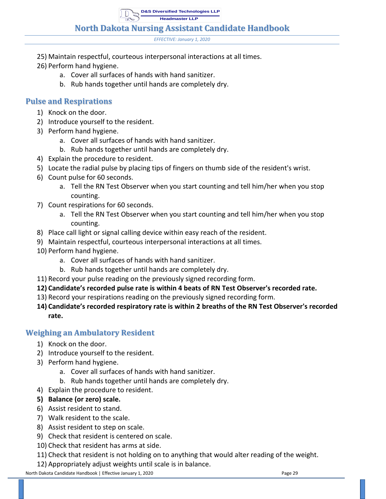**North Dakota Nursing Assistant Candidate Handbook**

*EFFECTIVE: January 1, 2020*

- 25) Maintain respectful, courteous interpersonal interactions at all times.
- 26) Perform hand hygiene.
	- a. Cover all surfaces of hands with hand sanitizer.
	- b. Rub hands together until hands are completely dry.

#### <span id="page-31-0"></span>**Pulse and Respirations**

- 1) Knock on the door.
- 2) Introduce yourself to the resident.
- 3) Perform hand hygiene.
	- a. Cover all surfaces of hands with hand sanitizer.
	- b. Rub hands together until hands are completely dry.
- 4) Explain the procedure to resident.
- 5) Locate the radial pulse by placing tips of fingers on thumb side of the resident's wrist.
- 6) Count pulse for 60 seconds.
	- a. Tell the RN Test Observer when you start counting and tell him/her when you stop counting.
- 7) Count respirations for 60 seconds.
	- a. Tell the RN Test Observer when you start counting and tell him/her when you stop counting.
- 8) Place call light or signal calling device within easy reach of the resident.
- 9) Maintain respectful, courteous interpersonal interactions at all times.
- 10) Perform hand hygiene.
	- a. Cover all surfaces of hands with hand sanitizer.
	- b. Rub hands together until hands are completely dry.
- 11) Record your pulse reading on the previously signed recording form.
- **12) Candidate's recorded pulse rate is within 4 beats of RN Test Observer's recorded rate.**
- 13) Record your respirations reading on the previously signed recording form.
- **14) Candidate's recorded respiratory rate is within 2 breaths of the RN Test Observer's recorded rate.**

#### <span id="page-31-1"></span>**Weighing an Ambulatory Resident**

- 1) Knock on the door.
- 2) Introduce yourself to the resident.
- 3) Perform hand hygiene.
	- a. Cover all surfaces of hands with hand sanitizer.
	- b. Rub hands together until hands are completely dry.
- 4) Explain the procedure to resident.
- **5) Balance (or zero) scale.**
- 6) Assist resident to stand.
- 7) Walk resident to the scale.
- 8) Assist resident to step on scale.
- 9) Check that resident is centered on scale.
- 10) Check that resident has arms at side.
- 11) Check that resident is not holding on to anything that would alter reading of the weight.
- 12) Appropriately adjust weights until scale is in balance.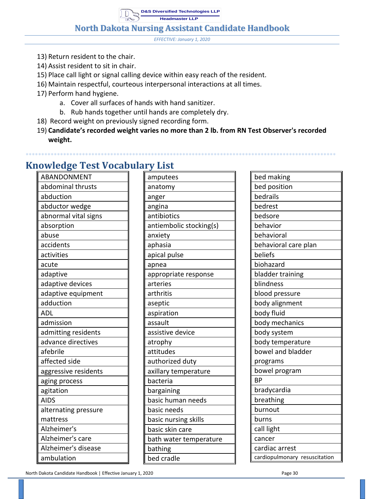**D&S Diversified Technologies LLP**

**Headmaster LLP**

**North Dakota Nursing Assistant Candidate Handbook**

*EFFECTIVE: January 1, 2020*

- 13) Return resident to the chair.
- 14) Assist resident to sit in chair.
- 15) Place call light or signal calling device within easy reach of the resident.
- 16) Maintain respectful, courteous interpersonal interactions at all times.
- 17) Perform hand hygiene.
	- a. Cover all surfaces of hands with hand sanitizer.
	- b. Rub hands together until hands are completely dry.
- 18) Record weight on previously signed recording form.
- 19) **Candidate's recorded weight varies no more than 2 lb. from RN Test Observer's recorded weight.**

**\*\*\*\*\*\*\*\*\*\*\*\*\*\*\*\*\*\*\*\*\*\*\*\*\*\*\*\*\*\*\*\*\*\*\*\*\*\*\*\*\*\*\*\*\*\*\*\*\*\*\*\*\*\*\*\*\*\*\*\*\*\*\*\*\*\*\*\*\*\*\*\*\*\*\*\*\*\*\*\*\*\*\*\*\*\*\*\*\*\*\*\*\*\*\*\*\*\*\***

| ABANDONMENT          | amputees                | bed making                    |
|----------------------|-------------------------|-------------------------------|
| abdominal thrusts    | anatomy                 | bed position                  |
| abduction            | anger                   | bedrails                      |
| abductor wedge       | angina                  | bedrest                       |
| abnormal vital signs | antibiotics             | bedsore                       |
| absorption           | antiembolic stocking(s) | behavior                      |
| abuse                | anxiety                 | behavioral                    |
| accidents            | aphasia                 | behavioral care plan          |
| activities           | apical pulse            | beliefs                       |
| acute                | apnea                   | biohazard                     |
| adaptive             | appropriate response    | bladder training              |
| adaptive devices     | arteries                | blindness                     |
| adaptive equipment   | arthritis               | blood pressure                |
| adduction            | aseptic                 | body alignment                |
| <b>ADL</b>           | aspiration              | body fluid                    |
| admission            | assault                 | body mechanics                |
| admitting residents  | assistive device        | body system                   |
| advance directives   | atrophy                 | body temperature              |
| afebrile             | attitudes               | bowel and bladder             |
| affected side        | authorized duty         | programs                      |
| aggressive residents | axillary temperature    | bowel program                 |
| aging process        | bacteria                | <b>BP</b>                     |
| agitation            | bargaining              | bradycardia                   |
| <b>AIDS</b>          | basic human needs       | breathing                     |
| alternating pressure | basic needs             | burnout                       |
| mattress             | basic nursing skills    | burns                         |
| Alzheimer's          | basic skin care         | call light                    |
| Alzheimer's care     | bath water temperature  | cancer                        |
| Alzheimer's disease  | bathing                 | cardiac arrest                |
| ambulation           | bed cradle              | cardiopulmonary resuscitation |
|                      |                         |                               |

# <span id="page-32-0"></span>**Knowledge Test Vocabulary List**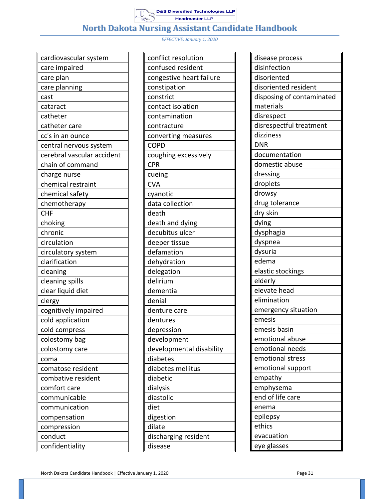

| cardiovascular system      |
|----------------------------|
| care impaired              |
| care plan                  |
| care planning              |
| cast                       |
| cataract                   |
| catheter                   |
| catheter care              |
| cc's in an ounce           |
| central nervous system     |
| cerebral vascular accident |
| chain of command           |
| charge nurse               |
| chemical restraint         |
| chemical safety            |
| chemotherapy               |
| <b>CHF</b>                 |
| choking                    |
| chronic                    |
| circulation                |
| circulatory system         |
| clarification              |
| cleaning                   |
| cleaning spills            |
| clear liquid diet          |
| clergy                     |
| cognitively impaired       |
| cold application           |
| cold compress              |
| colostomy bag              |
| colostomy care             |
| coma                       |
| comatose resident          |
| combative resident         |
| comfort care               |
| communicable               |
| communication              |
| compensation               |
| compression                |
| conduct                    |
| confidentiality            |

| conflict resolution      |
|--------------------------|
| confused resident        |
| congestive heart failure |
| constipation             |
| constrict                |
| contact isolation        |
| contamination            |
| contracture              |
| converting measures      |
| <b>COPD</b>              |
| coughing excessively     |
| <b>CPR</b>               |
| cueing                   |
| <b>CVA</b>               |
| cyanotic                 |
| data collection          |
| death                    |
| death and dying          |
| decubitus ulcer          |
| deeper tissue            |
| defamation               |
| dehydration              |
| delegation               |
| delirium                 |
| dementia                 |
| denial                   |
| denture care             |
| dentures                 |
| depression               |
| development              |
| developmental disability |
| diabetes                 |
| diabetes mellitus        |
| diabetic                 |
| dialysis                 |
| diastolic                |
| diet                     |
| digestion                |
| dilate                   |
| discharging resident     |
| disease                  |
|                          |

| disease process           |
|---------------------------|
| disinfection              |
| disoriented               |
| disoriented resident      |
| disposing of contaminated |
| materials                 |
| disrespect                |
| disrespectful treatment   |
| dizziness                 |
| <b>DNR</b>                |
| documentation             |
| domestic abuse            |
| dressing                  |
| droplets                  |
| drowsy                    |
| drug tolerance            |
| dry skin                  |
| dying                     |
| dysphagia                 |
| dyspnea                   |
| dysuria                   |
| edema                     |
| elastic stockings         |
| elderly                   |
| elevate head              |
| elimination               |
| emergency situation       |
| emesis                    |
| emesis basin              |
| emotional abuse           |
| emotional needs           |
| emotional stress          |
| emotional support         |
| empathy                   |
| emphysema                 |
| end of life care          |
| enema                     |
| epilepsy                  |
| ethics                    |
| evacuation                |
| eye glasses               |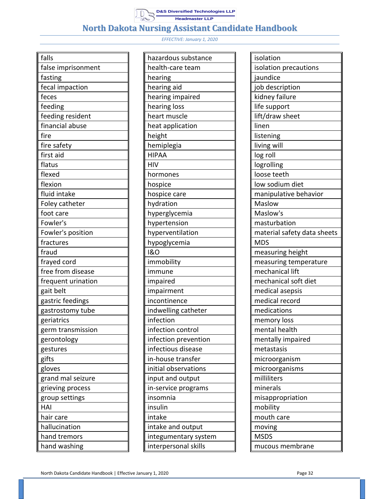

| falls              |
|--------------------|
| false imprisonment |
| fasting            |
| fecal impaction    |
| feces              |
| feeding            |
| feeding resident   |
| financial abuse    |
| fire               |
| fire safety        |
| first aid          |
| flatus             |
| flexed             |
| flexion            |
| fluid intake       |
| Foley catheter     |
| foot care          |
| Fowler's           |
| Fowler's position  |
| fractures          |
| fraud              |
| frayed cord        |
| free from disease  |
| frequent urination |
| gait belt          |
| gastric feedings   |
| gastrostomy tube   |
| geriatrics         |
| germ transmission  |
| gerontology        |
| gestures           |
| gifts              |
| gloves             |
| grand mal seizure  |
| grieving process   |
| group settings     |
| HAI                |
| hair care          |
| hallucination      |
| hand tremors       |
| hand washing       |

| hazardous substance  |
|----------------------|
| health-care team     |
| hearing              |
| hearing aid          |
| hearing impaired     |
| hearing loss         |
| heart muscle         |
| heat application     |
| height               |
| hemiplegia           |
| <b>HIPAA</b>         |
| HIV                  |
| hormones             |
| hospice              |
| hospice care         |
| hydration            |
| hyperglycemia        |
| hypertension         |
| hyperventilation     |
| hypoglycemia         |
| <b>1&amp;O</b>       |
| immobility           |
| immune               |
| impaired             |
| impairment           |
| incontinence         |
| indwelling catheter  |
| infection            |
| infection control    |
| infection prevention |
| infectious disease   |
| in-house transfer    |
| initial observations |
| input and output     |
| in-service programs  |
| insomnia             |
| insulin              |
| intake               |
| intake and output    |
| integumentary system |
| interpersonal skills |
|                      |

| isolation                   |  |  |
|-----------------------------|--|--|
| isolation precautions       |  |  |
| jaundice                    |  |  |
| job description             |  |  |
| kidney failure              |  |  |
| life support                |  |  |
| lift/draw sheet             |  |  |
| linen                       |  |  |
| listening                   |  |  |
| living will                 |  |  |
| log roll                    |  |  |
| logrolling                  |  |  |
| loose teeth                 |  |  |
| low sodium diet             |  |  |
| manipulative behavior       |  |  |
| Maslow                      |  |  |
| Maslow's                    |  |  |
| masturbation                |  |  |
| material safety data sheets |  |  |
| <b>MDS</b>                  |  |  |
| measuring height            |  |  |
| measuring temperature       |  |  |
| mechanical lift             |  |  |
| mechanical soft diet        |  |  |
| medical asepsis             |  |  |
| medical record              |  |  |
| medications                 |  |  |
| memory loss                 |  |  |
| mental health               |  |  |
| mentally impaired           |  |  |
| metastasis                  |  |  |
| microorganism               |  |  |
| microorganisms              |  |  |
| milliliters                 |  |  |
| minerals                    |  |  |
| misappropriation            |  |  |
| mobility                    |  |  |
| mouth care                  |  |  |
| moving                      |  |  |
| <b>MSDS</b>                 |  |  |
| mucous membrane             |  |  |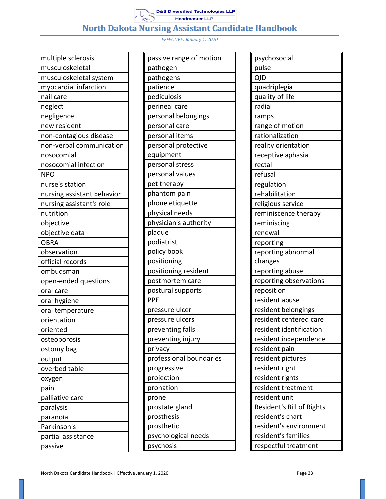# **North Dakota Nursing Assistant Candidate Handbook**

| multiple sclerosis         |  |  |
|----------------------------|--|--|
| musculoskeletal            |  |  |
| musculoskeletal system     |  |  |
| myocardial infarction      |  |  |
| nail care                  |  |  |
| neglect                    |  |  |
| negligence                 |  |  |
| new resident               |  |  |
| non-contagious disease     |  |  |
| non-verbal communication   |  |  |
| nosocomial                 |  |  |
| nosocomial infection       |  |  |
| NPO                        |  |  |
| nurse's station            |  |  |
| nursing assistant behavior |  |  |
| nursing assistant's role   |  |  |
| nutrition                  |  |  |
| objective                  |  |  |
| objective data             |  |  |
| <b>OBRA</b>                |  |  |
| observation                |  |  |
| official records           |  |  |
| ombudsman                  |  |  |
| open-ended questions       |  |  |
| oral care                  |  |  |
| oral hygiene               |  |  |
| oral temperature           |  |  |
| orientation                |  |  |
| oriented                   |  |  |
| osteoporosis               |  |  |
| ostomy bag                 |  |  |
| output                     |  |  |
| overbed table              |  |  |
| oxygen                     |  |  |
| pain                       |  |  |
| palliative care            |  |  |
| paralysis                  |  |  |
| paranoia                   |  |  |
| Parkinson's                |  |  |
| partial assistance         |  |  |
| passive                    |  |  |

| passive range of motion |
|-------------------------|
| pathogen                |
| pathogens               |
| patience                |
| pediculosis             |
| perineal care           |
| personal belongings     |
| personal care           |
| personal items          |
| personal protective     |
| equipment               |
| personal stress         |
| personal values         |
| pet therapy             |
| phantom pain            |
| phone etiquette         |
| physical needs          |
| physician's authority   |
| plaque                  |
| podiatrist              |
| policy book             |
| positioning             |
| positioning resident    |
| postmortem care         |
| postural supports       |
| PPE                     |
| pressure ulcer          |
| pressure ulcers         |
| preventing falls        |
| preventing injury       |
| privacy                 |
| professional boundaries |
| progressive             |
| projection              |
| pronation               |
| prone                   |
| prostate gland          |
| prosthesis              |
| prosthetic              |
| psychological needs     |
| psychosis               |

| psychosocial              |
|---------------------------|
| pulse                     |
| <b>QID</b>                |
| quadriplegia              |
| quality of life           |
| radial                    |
| ramps                     |
| range of motion           |
| rationalization           |
| reality orientation       |
| receptive aphasia         |
| rectal                    |
| refusal                   |
| regulation                |
| rehabilitation            |
| religious service         |
| reminiscence therapy      |
| reminiscing               |
| renewal                   |
| reporting                 |
| reporting abnormal        |
| changes                   |
| reporting abuse           |
| reporting observations    |
| reposition                |
| resident abuse            |
| resident belongings       |
| resident centered care    |
| resident identification   |
| resident independence     |
| resident pain             |
| resident pictures         |
| resident right            |
| resident rights           |
| resident treatment        |
| resident unit             |
| Resident's Bill of Rights |
| resident's chart          |
| resident's environment    |
| resident's families       |
| respectful treatment      |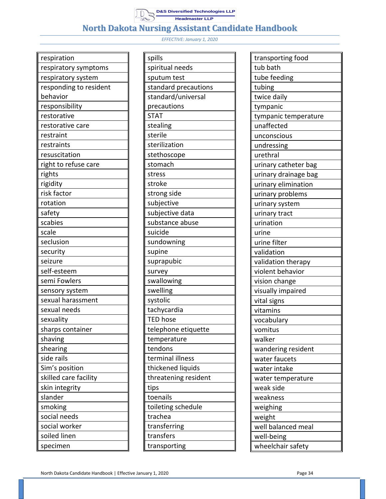

| respiration            |
|------------------------|
| respiratory symptoms   |
| respiratory system     |
| responding to resident |
| behavior               |
| responsibility         |
| restorative            |
| restorative care       |
| restraint              |
| restraints             |
| resuscitation          |
| right to refuse care   |
| rights                 |
| rigidity               |
| risk factor            |
| rotation               |
| safety                 |
| scabies                |
| scale                  |
| seclusion              |
| security               |
| seizure                |
| self-esteem            |
| semi Fowlers           |
| sensory system         |
| sexual harassment      |
| sexual needs           |
| sexuality              |
| sharps container       |
| shaving                |
| shearing               |
| side rails             |
| Sim's position         |
| skilled care facility  |
| skin integrity         |
| slander                |
| smoking                |
| social needs           |
| social worker          |
| soiled linen           |
| specimen               |

| spills               |
|----------------------|
| spiritual needs      |
| sputum test          |
| standard precautions |
| standard/universal   |
| precautions          |
| <b>STAT</b>          |
| stealing             |
| sterile              |
| sterilization        |
| stethoscope          |
| stomach              |
| stress               |
| stroke               |
| strong side          |
| subjective           |
| subjective data      |
| substance abuse      |
| suicide              |
| sundowning           |
| supine               |
| suprapubic           |
| survey               |
| swallowing           |
| swelling             |
| systolic             |
| tachycardia          |
| <b>TED hose</b>      |
| telephone etiquette  |
| temperature          |
| tendons              |
| terminal illness     |
| thickened liquids    |
| threatening resident |
| tips                 |
| toenails             |
| toileting schedule   |
| trachea              |
| transferring         |
| transfers            |
| transporting         |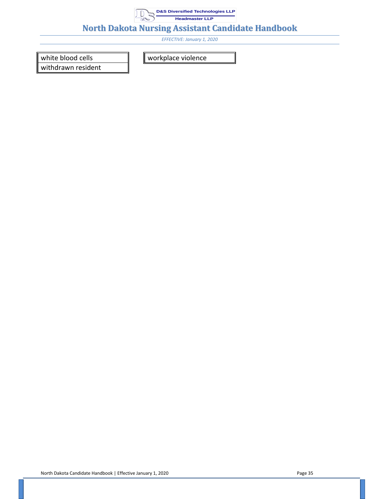

*EFFECTIVE: January 1, 2020*

white blood cells

withdrawn resident

workplace violence